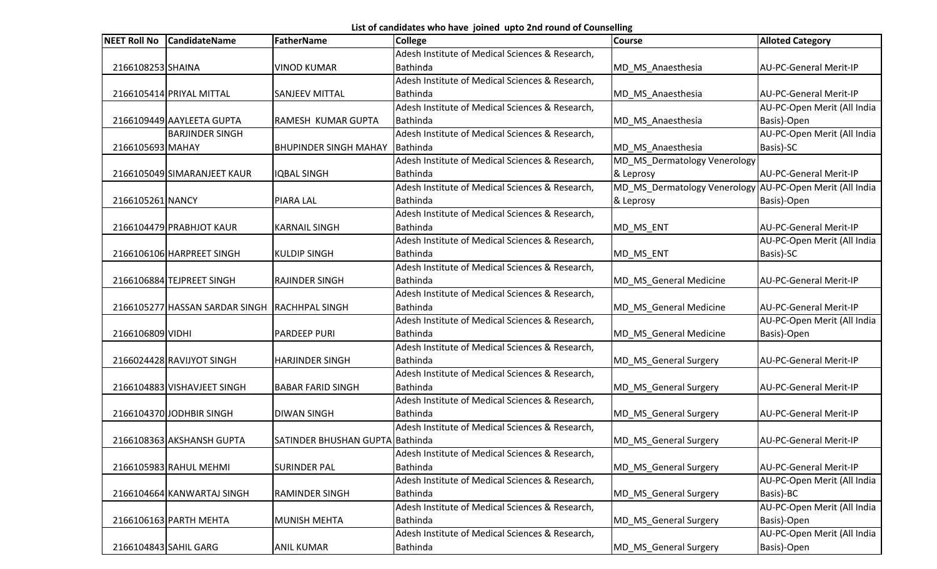List of candidates who have joined upto 2nd round of Counselling

| <b>NEET Roll No</b>   | <b>CandidateName</b>                          | FatherName                      | College                                         | <b>Course</b>                                            | <b>Alloted Category</b>       |
|-----------------------|-----------------------------------------------|---------------------------------|-------------------------------------------------|----------------------------------------------------------|-------------------------------|
|                       |                                               |                                 | Adesh Institute of Medical Sciences & Research, |                                                          |                               |
| 2166108253 SHAINA     |                                               | <b>VINOD KUMAR</b>              | <b>Bathinda</b>                                 | MD_MS_Anaesthesia                                        | AU-PC-General Merit-IP        |
|                       |                                               |                                 | Adesh Institute of Medical Sciences & Research, |                                                          |                               |
|                       | 2166105414 PRIYAL MITTAL                      | <b>SANJEEV MITTAL</b>           | <b>Bathinda</b>                                 | MD_MS_Anaesthesia                                        | AU-PC-General Merit-IP        |
|                       |                                               |                                 | Adesh Institute of Medical Sciences & Research, |                                                          | AU-PC-Open Merit (All India   |
|                       | 2166109449 AAYLEETA GUPTA                     | <b>RAMESH KUMAR GUPTA</b>       | Bathinda                                        | MD_MS_Anaesthesia                                        | Basis)-Open                   |
|                       | <b>BARJINDER SINGH</b>                        |                                 | Adesh Institute of Medical Sciences & Research, |                                                          | AU-PC-Open Merit (All India   |
| 2166105693 MAHAY      |                                               | <b>BHUPINDER SINGH MAHAY</b>    | Bathinda                                        | MD_MS_Anaesthesia                                        | Basis)-SC                     |
|                       |                                               |                                 | Adesh Institute of Medical Sciences & Research, | MD_MS_Dermatology Venerology                             |                               |
|                       | 2166105049 SIMARANJEET KAUR                   | <b>IQBAL SINGH</b>              | Bathinda                                        | & Leprosy                                                | <b>AU-PC-General Merit-IP</b> |
|                       |                                               |                                 | Adesh Institute of Medical Sciences & Research, | MD_MS_Dermatology Venerology AU-PC-Open Merit (All India |                               |
| 2166105261 NANCY      |                                               | <b>PIARA LAL</b>                | Bathinda                                        | & Leprosy                                                | Basis)-Open                   |
|                       |                                               |                                 | Adesh Institute of Medical Sciences & Research, |                                                          |                               |
|                       | 2166104479 PRABHJOT KAUR                      | <b>KARNAIL SINGH</b>            | <b>Bathinda</b>                                 | MD_MS_ENT                                                | AU-PC-General Merit-IP        |
|                       |                                               |                                 | Adesh Institute of Medical Sciences & Research, |                                                          | AU-PC-Open Merit (All India   |
|                       | 2166106106 HARPREET SINGH                     | <b>KULDIP SINGH</b>             | <b>Bathinda</b>                                 | MD_MS_ENT                                                | Basis)-SC                     |
|                       |                                               |                                 | Adesh Institute of Medical Sciences & Research, |                                                          |                               |
|                       | 2166106884 TEJPREET SINGH                     | <b>RAJINDER SINGH</b>           | <b>Bathinda</b>                                 | MD_MS_General Medicine                                   | <b>AU-PC-General Merit-IP</b> |
|                       |                                               |                                 | Adesh Institute of Medical Sciences & Research, |                                                          |                               |
|                       | 2166105277 HASSAN SARDAR SINGH RACHHPAL SINGH |                                 | <b>Bathinda</b>                                 | MD_MS_General Medicine                                   | AU-PC-General Merit-IP        |
|                       |                                               |                                 | Adesh Institute of Medical Sciences & Research, |                                                          | AU-PC-Open Merit (All India   |
| 2166106809 VIDHI      |                                               | <b>PARDEEP PURI</b>             | <b>Bathinda</b>                                 | MD_MS_General Medicine                                   | Basis)-Open                   |
|                       |                                               |                                 | Adesh Institute of Medical Sciences & Research, |                                                          |                               |
|                       | 2166024428 RAVIJYOT SINGH                     | <b>HARJINDER SINGH</b>          | <b>Bathinda</b>                                 | MD_MS_General Surgery                                    | AU-PC-General Merit-IP        |
|                       |                                               |                                 | Adesh Institute of Medical Sciences & Research, |                                                          |                               |
|                       | 2166104883 VISHAVJEET SINGH                   | <b>BABAR FARID SINGH</b>        | Bathinda                                        | MD_MS_General Surgery                                    | AU-PC-General Merit-IP        |
|                       |                                               |                                 | Adesh Institute of Medical Sciences & Research, |                                                          |                               |
|                       | 2166104370 JODHBIR SINGH                      | <b>DIWAN SINGH</b>              | Bathinda                                        | MD_MS_General Surgery                                    | AU-PC-General Merit-IP        |
|                       |                                               |                                 | Adesh Institute of Medical Sciences & Research, |                                                          |                               |
|                       | 2166108363 AKSHANSH GUPTA                     | SATINDER BHUSHAN GUPTA Bathinda |                                                 | MD MS General Surgery                                    | <b>AU-PC-General Merit-IP</b> |
|                       |                                               |                                 | Adesh Institute of Medical Sciences & Research, |                                                          |                               |
|                       | 2166105983 RAHUL MEHMI                        | <b>SURINDER PAL</b>             | <b>Bathinda</b>                                 | MD_MS_General Surgery                                    | AU-PC-General Merit-IP        |
|                       |                                               |                                 | Adesh Institute of Medical Sciences & Research, |                                                          | AU-PC-Open Merit (All India   |
|                       | 2166104664 KANWARTAJ SINGH                    | <b>RAMINDER SINGH</b>           | Bathinda                                        | MD MS General Surgery                                    | Basis)-BC                     |
|                       |                                               |                                 | Adesh Institute of Medical Sciences & Research, |                                                          | AU-PC-Open Merit (All India   |
|                       | 2166106163 PARTH MEHTA                        | <b>MUNISH MEHTA</b>             | <b>Bathinda</b>                                 | MD_MS_General Surgery                                    | Basis)-Open                   |
|                       |                                               |                                 | Adesh Institute of Medical Sciences & Research, |                                                          | AU-PC-Open Merit (All India   |
| 2166104843 SAHIL GARG |                                               | <b>ANIL KUMAR</b>               | Bathinda                                        | MD_MS_General Surgery                                    | Basis)-Open                   |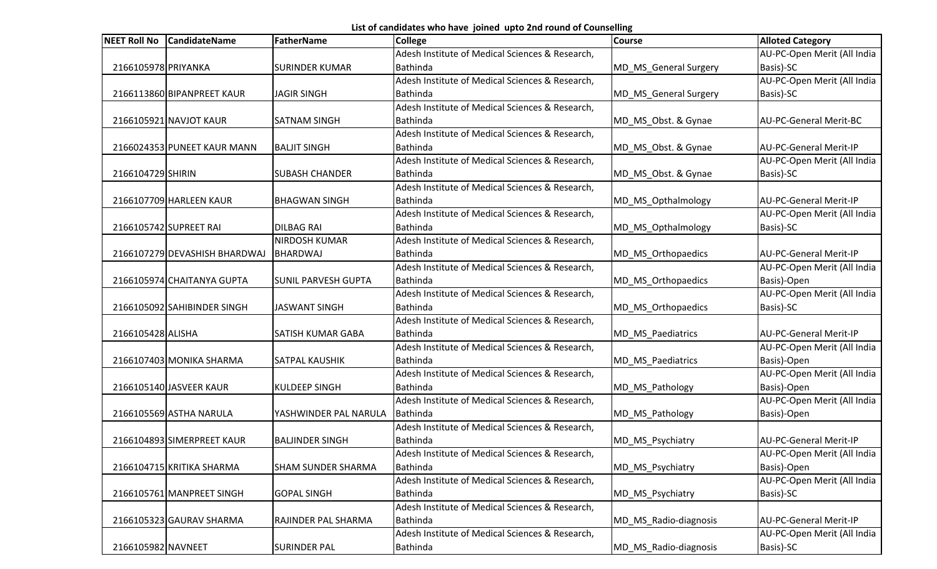List of candidates who have joined upto 2nd round of Counselling

| <b>NEET Roll No</b> | <b>CandidateName</b>          | FatherName                 | College                                         | <b>Course</b>         | <b>Alloted Category</b>       |
|---------------------|-------------------------------|----------------------------|-------------------------------------------------|-----------------------|-------------------------------|
|                     |                               |                            | Adesh Institute of Medical Sciences & Research, |                       | AU-PC-Open Merit (All India   |
| 2166105978 PRIYANKA |                               | <b>SURINDER KUMAR</b>      | <b>Bathinda</b>                                 | MD_MS_General Surgery | Basis)-SC                     |
|                     |                               |                            | Adesh Institute of Medical Sciences & Research, |                       | AU-PC-Open Merit (All India   |
|                     | 2166113860 BIPANPREET KAUR    | <b>JAGIR SINGH</b>         | <b>Bathinda</b>                                 | MD_MS_General Surgery | Basis)-SC                     |
|                     |                               |                            | Adesh Institute of Medical Sciences & Research, |                       |                               |
|                     | 2166105921 NAVJOT KAUR        | <b>SATNAM SINGH</b>        | Bathinda                                        | MD_MS_Obst. & Gynae   | AU-PC-General Merit-BC        |
|                     |                               |                            | Adesh Institute of Medical Sciences & Research, |                       |                               |
|                     | 2166024353 PUNEET KAUR MANN   | <b>BALJIT SINGH</b>        | <b>Bathinda</b>                                 | MD_MS_Obst. & Gynae   | <b>AU-PC-General Merit-IP</b> |
|                     |                               |                            | Adesh Institute of Medical Sciences & Research, |                       | AU-PC-Open Merit (All India   |
| 2166104729 SHIRIN   |                               | <b>SUBASH CHANDER</b>      | <b>Bathinda</b>                                 | MD_MS_Obst. & Gynae   | Basis)-SC                     |
|                     |                               |                            | Adesh Institute of Medical Sciences & Research, |                       |                               |
|                     | 2166107709 HARLEEN KAUR       | <b>BHAGWAN SINGH</b>       | <b>Bathinda</b>                                 | MD_MS_Opthalmology    | AU-PC-General Merit-IP        |
|                     |                               |                            | Adesh Institute of Medical Sciences & Research, |                       | AU-PC-Open Merit (All India   |
|                     | 2166105742 SUPREET RAI        | <b>DILBAG RAI</b>          | <b>Bathinda</b>                                 | MD_MS_Opthalmology    | Basis)-SC                     |
|                     |                               | <b>NIRDOSH KUMAR</b>       | Adesh Institute of Medical Sciences & Research, |                       |                               |
|                     | 2166107279 DEVASHISH BHARDWAJ | BHARDWAJ                   | Bathinda                                        | MD MS Orthopaedics    | AU-PC-General Merit-IP        |
|                     |                               |                            | Adesh Institute of Medical Sciences & Research, |                       | AU-PC-Open Merit (All India   |
|                     | 2166105974 CHAITANYA GUPTA    | <b>SUNIL PARVESH GUPTA</b> | Bathinda                                        | MD_MS_Orthopaedics    | Basis)-Open                   |
|                     |                               |                            | Adesh Institute of Medical Sciences & Research, |                       | AU-PC-Open Merit (All India   |
|                     | 2166105092 SAHIBINDER SINGH   | JASWANT SINGH              | <b>Bathinda</b>                                 | MD MS Orthopaedics    | Basis)-SC                     |
|                     |                               |                            | Adesh Institute of Medical Sciences & Research, |                       |                               |
| 2166105428 ALISHA   |                               | <b>SATISH KUMAR GABA</b>   | <b>Bathinda</b>                                 | MD_MS_Paediatrics     | AU-PC-General Merit-IP        |
|                     |                               |                            | Adesh Institute of Medical Sciences & Research, |                       | AU-PC-Open Merit (All India   |
|                     | 2166107403 MONIKA SHARMA      | <b>SATPAL KAUSHIK</b>      | <b>Bathinda</b>                                 | MD_MS_Paediatrics     | Basis)-Open                   |
|                     |                               |                            | Adesh Institute of Medical Sciences & Research, |                       | AU-PC-Open Merit (All India   |
|                     | 2166105140 JASVEER KAUR       | <b>KULDEEP SINGH</b>       | <b>Bathinda</b>                                 | MD_MS_Pathology       | Basis)-Open                   |
|                     |                               |                            | Adesh Institute of Medical Sciences & Research, |                       | AU-PC-Open Merit (All India   |
|                     | 2166105569 ASTHA NARULA       | YASHWINDER PAL NARULA      | Bathinda                                        | MD_MS_Pathology       | Basis)-Open                   |
|                     |                               |                            | Adesh Institute of Medical Sciences & Research, |                       |                               |
|                     | 2166104893 SIMERPREET KAUR    | <b>BALJINDER SINGH</b>     | Bathinda                                        | MD MS Psychiatry      | AU-PC-General Merit-IP        |
|                     |                               |                            | Adesh Institute of Medical Sciences & Research, |                       | AU-PC-Open Merit (All India   |
|                     | 2166104715 KRITIKA SHARMA     | <b>SHAM SUNDER SHARMA</b>  | Bathinda                                        | MD_MS_Psychiatry      | Basis)-Open                   |
|                     |                               |                            | Adesh Institute of Medical Sciences & Research, |                       | AU-PC-Open Merit (All India   |
|                     | 2166105761 MANPREET SINGH     | <b>GOPAL SINGH</b>         | <b>Bathinda</b>                                 | MD MS Psychiatry      | Basis)-SC                     |
|                     |                               |                            | Adesh Institute of Medical Sciences & Research, |                       |                               |
|                     | 2166105323 GAURAV SHARMA      | <b>RAJINDER PAL SHARMA</b> | <b>Bathinda</b>                                 | MD_MS_Radio-diagnosis | <b>AU-PC-General Merit-IP</b> |
|                     |                               |                            | Adesh Institute of Medical Sciences & Research, |                       | AU-PC-Open Merit (All India   |
| 2166105982 NAVNEET  |                               | <b>SURINDER PAL</b>        | Bathinda                                        | MD_MS_Radio-diagnosis | Basis)-SC                     |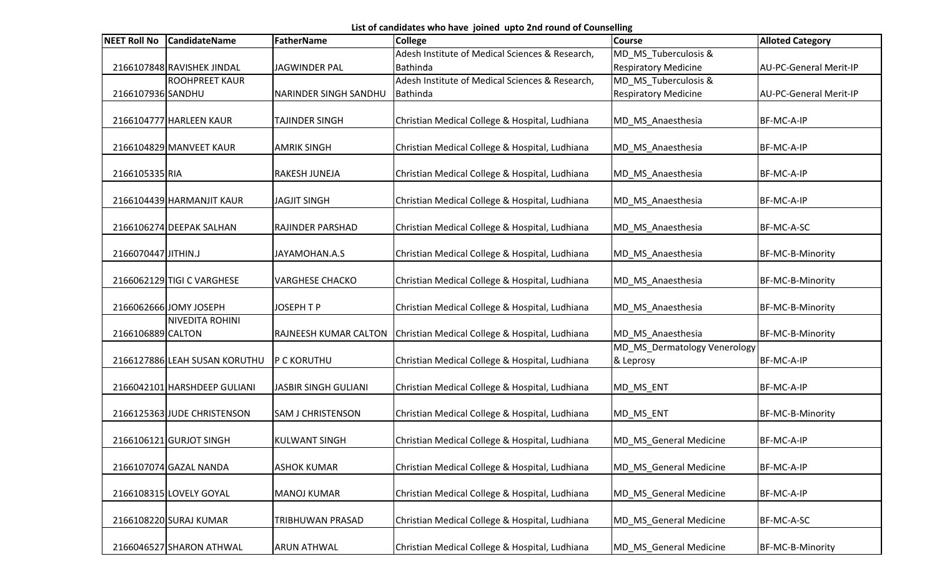List of candidates who have joined upto 2nd round of Counselling

| <b>NEET Roll No</b> | <b>CandidateName</b>          | FatherName                  | <b>College</b>                                  | <b>Course</b>                | <b>Alloted Category</b>       |
|---------------------|-------------------------------|-----------------------------|-------------------------------------------------|------------------------------|-------------------------------|
|                     |                               |                             | Adesh Institute of Medical Sciences & Research, | MD_MS_Tuberculosis &         |                               |
|                     | 2166107848 RAVISHEK JINDAL    | <b>JAGWINDER PAL</b>        | Bathinda                                        | <b>Respiratory Medicine</b>  | <b>AU-PC-General Merit-IP</b> |
|                     | <b>ROOHPREET KAUR</b>         |                             | Adesh Institute of Medical Sciences & Research, | MD_MS_Tuberculosis &         |                               |
| 2166107936 SANDHU   |                               | NARINDER SINGH SANDHU       | Bathinda                                        | <b>Respiratory Medicine</b>  | <b>AU-PC-General Merit-IP</b> |
|                     |                               |                             |                                                 |                              |                               |
|                     | 2166104777 HARLEEN KAUR       | TAJINDER SINGH              | Christian Medical College & Hospital, Ludhiana  | MD_MS_Anaesthesia            | BF-MC-A-IP                    |
|                     |                               |                             |                                                 |                              |                               |
|                     | 2166104829 MANVEET KAUR       | <b>AMRIK SINGH</b>          | Christian Medical College & Hospital, Ludhiana  | MD_MS_Anaesthesia            | BF-MC-A-IP                    |
|                     |                               |                             |                                                 |                              |                               |
| 2166105335 RIA      |                               | RAKESH JUNEJA               | Christian Medical College & Hospital, Ludhiana  | MD_MS_Anaesthesia            | BF-MC-A-IP                    |
|                     | 2166104439 HARMANJIT KAUR     | <b>JAGJIT SINGH</b>         |                                                 |                              |                               |
|                     |                               |                             | Christian Medical College & Hospital, Ludhiana  | MD_MS_Anaesthesia            | BF-MC-A-IP                    |
|                     | 2166106274 DEEPAK SALHAN      | RAJINDER PARSHAD            | Christian Medical College & Hospital, Ludhiana  | MD_MS_Anaesthesia            | BF-MC-A-SC                    |
|                     |                               |                             |                                                 |                              |                               |
| 2166070447 JITHIN.J |                               | JAYAMOHAN.A.S               | Christian Medical College & Hospital, Ludhiana  | MD_MS_Anaesthesia            | BF-MC-B-Minority              |
|                     |                               |                             |                                                 |                              |                               |
|                     | 2166062129 TIGI C VARGHESE    | <b>VARGHESE CHACKO</b>      | Christian Medical College & Hospital, Ludhiana  | MD_MS_Anaesthesia            | BF-MC-B-Minority              |
|                     |                               |                             |                                                 |                              |                               |
|                     | 2166062666 JOMY JOSEPH        | JOSEPH T P                  | Christian Medical College & Hospital, Ludhiana  | MD_MS_Anaesthesia            | BF-MC-B-Minority              |
|                     | <b>NIVEDITA ROHINI</b>        |                             |                                                 |                              |                               |
| 2166106889 CALTON   |                               | RAJNEESH KUMAR CALTON       | Christian Medical College & Hospital, Ludhiana  | MD_MS_Anaesthesia            | BF-MC-B-Minority              |
|                     |                               |                             |                                                 | MD_MS_Dermatology Venerology |                               |
|                     | 2166127886 LEAH SUSAN KORUTHU | <b>P C KORUTHU</b>          | Christian Medical College & Hospital, Ludhiana  | & Leprosy                    | BF-MC-A-IP                    |
|                     |                               |                             |                                                 |                              |                               |
|                     | 2166042101 HARSHDEEP GULIANI  | <b>JASBIR SINGH GULIANI</b> | Christian Medical College & Hospital, Ludhiana  | MD_MS_ENT                    | BF-MC-A-IP                    |
|                     |                               |                             |                                                 |                              |                               |
|                     | 2166125363 JUDE CHRISTENSON   | <b>SAM J CHRISTENSON</b>    | Christian Medical College & Hospital, Ludhiana  | MD_MS_ENT                    | BF-MC-B-Minority              |
|                     |                               |                             |                                                 |                              |                               |
|                     | 2166106121 GURJOT SINGH       | <b>KULWANT SINGH</b>        | Christian Medical College & Hospital, Ludhiana  | MD_MS_General Medicine       | BF-MC-A-IP                    |
|                     | 2166107074 GAZAL NANDA        | <b>ASHOK KUMAR</b>          | Christian Medical College & Hospital, Ludhiana  | MD_MS_General Medicine       | BF-MC-A-IP                    |
|                     |                               |                             |                                                 |                              |                               |
|                     | 2166108315 LOVELY GOYAL       | <b>MANOJ KUMAR</b>          | Christian Medical College & Hospital, Ludhiana  | MD_MS_General Medicine       | BF-MC-A-IP                    |
|                     |                               |                             |                                                 |                              |                               |
|                     | 2166108220 SURAJ KUMAR        | TRIBHUWAN PRASAD            | Christian Medical College & Hospital, Ludhiana  | MD MS General Medicine       | BF-MC-A-SC                    |
|                     |                               |                             |                                                 |                              |                               |
|                     | 2166046527 SHARON ATHWAL      | <b>ARUN ATHWAL</b>          | Christian Medical College & Hospital, Ludhiana  | MD_MS_General Medicine       | BF-MC-B-Minority              |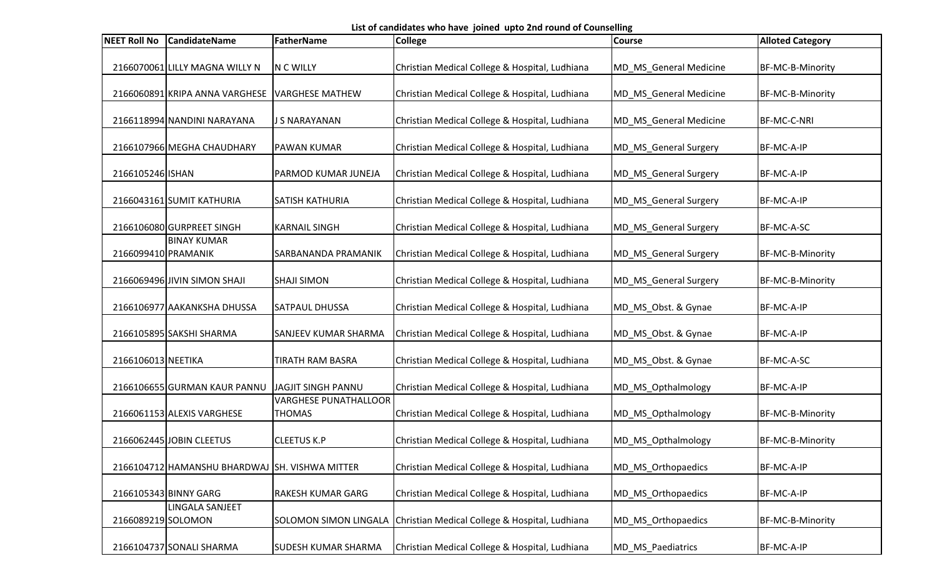List of candidates who have joined upto 2nd round of Counselling

| <b>NEET Roll No</b> | <b>CandidateName</b>                           | FatherName                                    | <b>College</b>                                                       | <b>Course</b>          | <b>Alloted Category</b> |
|---------------------|------------------------------------------------|-----------------------------------------------|----------------------------------------------------------------------|------------------------|-------------------------|
|                     | 2166070061 LILLY MAGNA WILLY N                 | N C WILLY                                     | Christian Medical College & Hospital, Ludhiana                       | MD_MS_General Medicine | BF-MC-B-Minority        |
|                     | 2166060891 KRIPA ANNA VARGHESE                 | <b>VARGHESE MATHEW</b>                        | Christian Medical College & Hospital, Ludhiana                       | MD_MS_General Medicine | BF-MC-B-Minority        |
|                     | 2166118994 NANDINI NARAYANA                    | J S NARAYANAN                                 | Christian Medical College & Hospital, Ludhiana                       | MD MS General Medicine | <b>BF-MC-C-NRI</b>      |
|                     | 2166107966 MEGHA CHAUDHARY                     | <b>PAWAN KUMAR</b>                            | Christian Medical College & Hospital, Ludhiana                       | MD_MS_General Surgery  | BF-MC-A-IP              |
| 2166105246 ISHAN    |                                                | PARMOD KUMAR JUNEJA                           | Christian Medical College & Hospital, Ludhiana                       | MD_MS_General Surgery  | BF-MC-A-IP              |
|                     | 2166043161 SUMIT KATHURIA                      | SATISH KATHURIA                               | Christian Medical College & Hospital, Ludhiana                       | MD_MS_General Surgery  | BF-MC-A-IP              |
|                     | 2166106080 GURPREET SINGH                      | <b>KARNAIL SINGH</b>                          | Christian Medical College & Hospital, Ludhiana                       | MD_MS_General Surgery  | BF-MC-A-SC              |
| 2166099410 PRAMANIK | <b>BINAY KUMAR</b>                             | SARBANANDA PRAMANIK                           | Christian Medical College & Hospital, Ludhiana                       | MD_MS_General Surgery  | BF-MC-B-Minority        |
|                     | 2166069496 JIVIN SIMON SHAJI                   | <b>SHAJI SIMON</b>                            | Christian Medical College & Hospital, Ludhiana                       | MD_MS_General Surgery  | BF-MC-B-Minority        |
|                     | 2166106977 AAKANKSHA DHUSSA                    | <b>SATPAUL DHUSSA</b>                         | Christian Medical College & Hospital, Ludhiana                       | MD_MS_Obst. & Gynae    | BF-MC-A-IP              |
|                     | 2166105895 SAKSHI SHARMA                       | <b>SANJEEV KUMAR SHARMA</b>                   | Christian Medical College & Hospital, Ludhiana                       | MD_MS_Obst. & Gynae    | BF-MC-A-IP              |
| 2166106013 NEETIKA  |                                                | TIRATH RAM BASRA                              | Christian Medical College & Hospital, Ludhiana                       | MD_MS_Obst. & Gynae    | BF-MC-A-SC              |
|                     | 2166106655 GURMAN KAUR PANNU                   | <b>JAGJIT SINGH PANNU</b>                     | Christian Medical College & Hospital, Ludhiana                       | MD_MS_Opthalmology     | BF-MC-A-IP              |
|                     | 2166061153 ALEXIS VARGHESE                     | <b>VARGHESE PUNATHALLOOR</b><br><b>THOMAS</b> | Christian Medical College & Hospital, Ludhiana                       | MD_MS_Opthalmology     | BF-MC-B-Minority        |
|                     | 2166062445 JOBIN CLEETUS                       | <b>CLEETUS K.P</b>                            | Christian Medical College & Hospital, Ludhiana                       | MD_MS_Opthalmology     | BF-MC-B-Minority        |
|                     | 2166104712 HAMANSHU BHARDWAJ SH. VISHWA MITTER |                                               | Christian Medical College & Hospital, Ludhiana                       | MD_MS_Orthopaedics     | BF-MC-A-IP              |
|                     | 2166105343 BINNY GARG                          | <b>RAKESH KUMAR GARG</b>                      | Christian Medical College & Hospital, Ludhiana                       | MD_MS_Orthopaedics     | BF-MC-A-IP              |
| 2166089219 SOLOMON  | LINGALA SANJEET                                |                                               | SOLOMON SIMON LINGALA Christian Medical College & Hospital, Ludhiana | MD_MS_Orthopaedics     | BF-MC-B-Minority        |
|                     | 2166104737 SONALI SHARMA                       | <b>SUDESH KUMAR SHARMA</b>                    | Christian Medical College & Hospital, Ludhiana                       | MD_MS_Paediatrics      | BF-MC-A-IP              |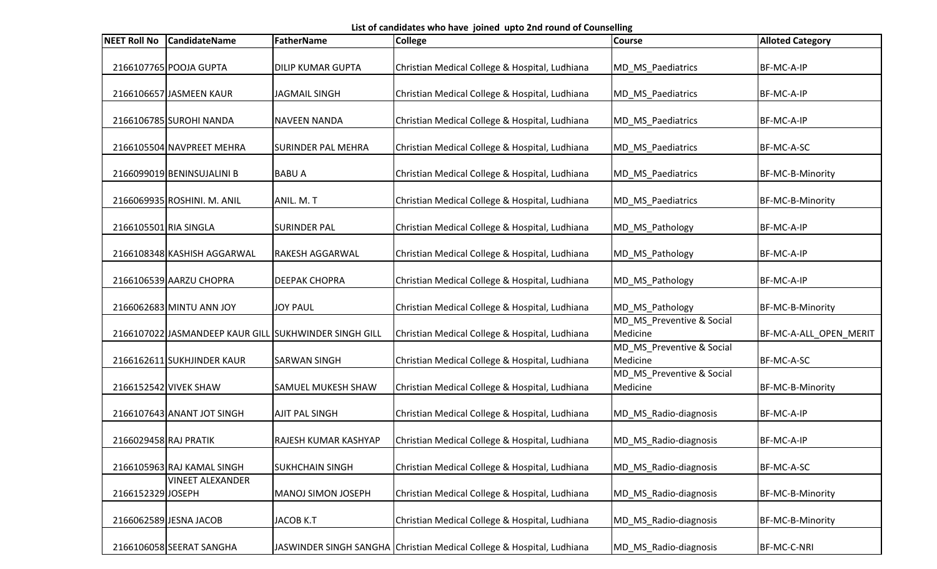List of candidates who have joined upto 2nd round of Counselling

| <b>NEET Roll No</b>   | <b>CandidateName</b>        | <b>FatherName</b>                                     | <b>College</b>                                                        | <b>Course</b>                         | <b>Alloted Category</b> |
|-----------------------|-----------------------------|-------------------------------------------------------|-----------------------------------------------------------------------|---------------------------------------|-------------------------|
|                       | 2166107765 POOJA GUPTA      | <b>DILIP KUMAR GUPTA</b>                              | Christian Medical College & Hospital, Ludhiana                        | MD_MS_Paediatrics                     | BF-MC-A-IP              |
|                       | 2166106657 JASMEEN KAUR     | <b>JAGMAIL SINGH</b>                                  | Christian Medical College & Hospital, Ludhiana                        | MD_MS_Paediatrics                     | BF-MC-A-IP              |
|                       | 2166106785 SUROHI NANDA     | <b>NAVEEN NANDA</b>                                   | Christian Medical College & Hospital, Ludhiana                        | MD MS Paediatrics                     | BF-MC-A-IP              |
|                       | 2166105504 NAVPREET MEHRA   | <b>SURINDER PAL MEHRA</b>                             | Christian Medical College & Hospital, Ludhiana                        | MD_MS_Paediatrics                     | BF-MC-A-SC              |
|                       | 2166099019 BENINSUJALINI B  | <b>BABU A</b>                                         | Christian Medical College & Hospital, Ludhiana                        | MD_MS_Paediatrics                     | BF-MC-B-Minority        |
|                       | 2166069935 ROSHINI. M. ANIL | ANIL. M. T                                            | Christian Medical College & Hospital, Ludhiana                        | MD_MS_Paediatrics                     | BF-MC-B-Minority        |
| 2166105501 RIA SINGLA |                             | <b>SURINDER PAL</b>                                   | Christian Medical College & Hospital, Ludhiana                        | MD_MS_Pathology                       | BF-MC-A-IP              |
|                       | 2166108348 KASHISH AGGARWAL | <b>RAKESH AGGARWAL</b>                                | Christian Medical College & Hospital, Ludhiana                        | MD_MS_Pathology                       | BF-MC-A-IP              |
|                       | 2166106539 AARZU CHOPRA     | <b>DEEPAK CHOPRA</b>                                  | Christian Medical College & Hospital, Ludhiana                        | MD_MS_Pathology                       | BF-MC-A-IP              |
|                       | 2166062683 MINTU ANN JOY    | <b>JOY PAUL</b>                                       | Christian Medical College & Hospital, Ludhiana                        | MD_MS_Pathology                       | BF-MC-B-Minority        |
|                       |                             | 2166107022 JASMANDEEP KAUR GILL SUKHWINDER SINGH GILL | Christian Medical College & Hospital, Ludhiana                        | MD_MS_Preventive & Social<br>Medicine | BF-MC-A-ALL_OPEN_MERIT  |
|                       | 2166162611 SUKHJINDER KAUR  | <b>SARWAN SINGH</b>                                   | Christian Medical College & Hospital, Ludhiana                        | MD_MS_Preventive & Social<br>Medicine | BF-MC-A-SC              |
|                       | 2166152542 VIVEK SHAW       | SAMUEL MUKESH SHAW                                    | Christian Medical College & Hospital, Ludhiana                        | MD_MS_Preventive & Social<br>Medicine | BF-MC-B-Minority        |
|                       | 2166107643 ANANT JOT SINGH  | <b>AJIT PAL SINGH</b>                                 | Christian Medical College & Hospital, Ludhiana                        | MD_MS_Radio-diagnosis                 | BF-MC-A-IP              |
| 2166029458 RAJ PRATIK |                             | <b>RAJESH KUMAR KASHYAP</b>                           | Christian Medical College & Hospital, Ludhiana                        | MD_MS_Radio-diagnosis                 | BF-MC-A-IP              |
|                       | 2166105963 RAJ KAMAL SINGH  | <b>SUKHCHAIN SINGH</b>                                | Christian Medical College & Hospital, Ludhiana                        | MD_MS_Radio-diagnosis                 | BF-MC-A-SC              |
| 2166152329 JOSEPH     | <b>VINEET ALEXANDER</b>     | <b>MANOJ SIMON JOSEPH</b>                             | Christian Medical College & Hospital, Ludhiana                        | MD_MS_Radio-diagnosis                 | BF-MC-B-Minority        |
|                       | 2166062589 JESNA JACOB      | JACOB K.T                                             | Christian Medical College & Hospital, Ludhiana                        | MD_MS_Radio-diagnosis                 | BF-MC-B-Minority        |
|                       | 2166106058 SEERAT SANGHA    |                                                       | JASWINDER SINGH SANGHA Christian Medical College & Hospital, Ludhiana | MD_MS_Radio-diagnosis                 | BF-MC-C-NRI             |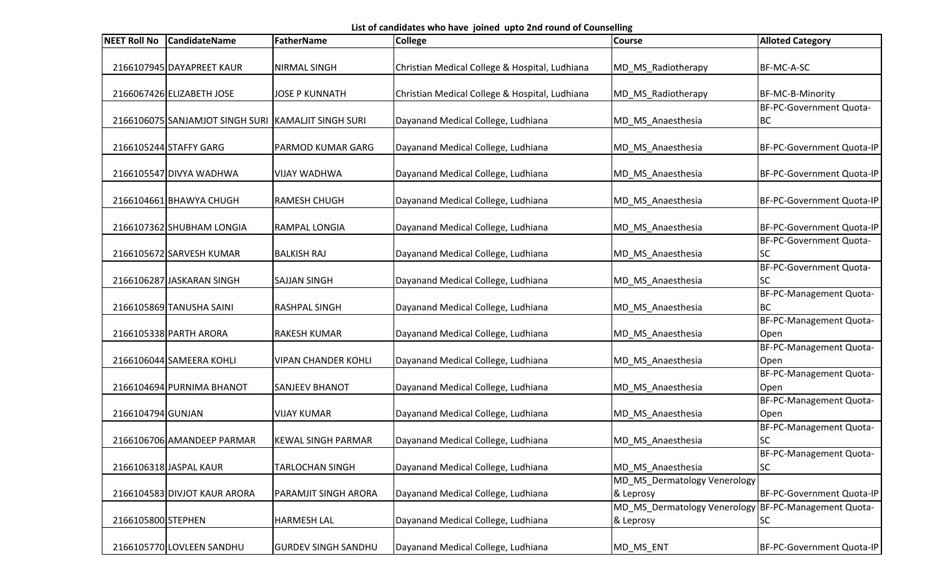List of candidates who have joined upto 2nd round of Counselling

| <b>NEET Roll No</b> | <b>CandidateName</b>                                | FatherName                 | <b>College</b>                                 | <b>Course</b>                | <b>Alloted Category</b>                     |
|---------------------|-----------------------------------------------------|----------------------------|------------------------------------------------|------------------------------|---------------------------------------------|
|                     |                                                     |                            |                                                |                              |                                             |
|                     | 2166107945 DAYAPREET KAUR                           | <b>NIRMAL SINGH</b>        | Christian Medical College & Hospital, Ludhiana | MD_MS_Radiotherapy           | BF-MC-A-SC                                  |
|                     |                                                     | <b>JOSE P KUNNATH</b>      |                                                |                              |                                             |
|                     | 2166067426 ELIZABETH JOSE                           |                            | Christian Medical College & Hospital, Ludhiana | MD_MS_Radiotherapy           | BF-MC-B-Minority<br>BF-PC-Government Quota- |
|                     | 2166106075 SANJAMJOT SINGH SURI KAMALJIT SINGH SURI |                            | Dayanand Medical College, Ludhiana             | MD_MS_Anaesthesia            | <b>BC</b>                                   |
|                     |                                                     |                            |                                                |                              |                                             |
|                     | 2166105244 STAFFY GARG                              | PARMOD KUMAR GARG          | Dayanand Medical College, Ludhiana             | MD_MS_Anaesthesia            | BF-PC-Government Quota-IP                   |
|                     |                                                     |                            |                                                |                              |                                             |
|                     | 2166105547 DIVYA WADHWA                             | <b>VIJAY WADHWA</b>        | Dayanand Medical College, Ludhiana             | MD_MS_Anaesthesia            | BF-PC-Government Quota-IP                   |
|                     |                                                     |                            |                                                |                              |                                             |
|                     | 2166104661 BHAWYA CHUGH                             | <b>RAMESH CHUGH</b>        | Dayanand Medical College, Ludhiana             | MD MS Anaesthesia            | BF-PC-Government Quota-IP                   |
|                     | 2166107362 SHUBHAM LONGIA                           | RAMPAL LONGIA              | Dayanand Medical College, Ludhiana             | MD_MS_Anaesthesia            | BF-PC-Government Quota-IP                   |
|                     |                                                     |                            |                                                |                              | BF-PC-Government Quota-                     |
|                     | 2166105672 SARVESH KUMAR                            | <b>BALKISH RAJ</b>         | Dayanand Medical College, Ludhiana             | MD_MS_Anaesthesia            | SC                                          |
|                     |                                                     |                            |                                                |                              | BF-PC-Government Quota-                     |
|                     | 2166106287 JASKARAN SINGH                           | <b>SAJJAN SINGH</b>        | Dayanand Medical College, Ludhiana             | MD_MS_Anaesthesia            | <b>SC</b>                                   |
|                     |                                                     |                            |                                                |                              | BF-PC-Management Quota-                     |
|                     | 2166105869 TANUSHA SAINI                            | <b>RASHPAL SINGH</b>       | Dayanand Medical College, Ludhiana             | MD_MS_Anaesthesia            | <b>BC</b>                                   |
|                     |                                                     |                            |                                                |                              | BF-PC-Management Quota-                     |
|                     | 2166105338 PARTH ARORA                              | <b>RAKESH KUMAR</b>        | Dayanand Medical College, Ludhiana             | MD_MS_Anaesthesia            | Open                                        |
|                     |                                                     |                            |                                                |                              | BF-PC-Management Quota-                     |
|                     | 2166106044 SAMEERA KOHLI                            | <b>VIPAN CHANDER KOHLI</b> | Dayanand Medical College, Ludhiana             | MD_MS_Anaesthesia            | Open                                        |
|                     |                                                     |                            |                                                |                              | BF-PC-Management Quota-                     |
|                     | 2166104694 PURNIMA BHANOT                           | <b>SANJEEV BHANOT</b>      | Dayanand Medical College, Ludhiana             | MD_MS_Anaesthesia            | Open                                        |
|                     |                                                     |                            |                                                |                              | BF-PC-Management Quota-                     |
| 2166104794 GUNJAN   |                                                     | <b>VIJAY KUMAR</b>         | Dayanand Medical College, Ludhiana             | MD_MS_Anaesthesia            | Open                                        |
|                     |                                                     |                            |                                                |                              | BF-PC-Management Quota-                     |
|                     | 2166106706 AMANDEEP PARMAR                          | <b>KEWAL SINGH PARMAR</b>  | Dayanand Medical College, Ludhiana             | MD_MS_Anaesthesia            | SC                                          |
|                     |                                                     |                            |                                                |                              | BF-PC-Management Quota-                     |
|                     | 2166106318 JASPAL KAUR                              | TARLOCHAN SINGH            | Dayanand Medical College, Ludhiana             | MD_MS_Anaesthesia            | SC                                          |
|                     |                                                     |                            |                                                | MD_MS_Dermatology Venerology |                                             |
|                     | 2166104583 DIVJOT KAUR ARORA                        | PARAMJIT SINGH ARORA       | Dayanand Medical College, Ludhiana             | & Leprosy                    | BF-PC-Government Quota-IP                   |
|                     |                                                     |                            |                                                | MD_MS_Dermatology Venerology | BF-PC-Management Quota-                     |
| 2166105800 STEPHEN  |                                                     | <b>HARMESH LAL</b>         | Dayanand Medical College, Ludhiana             | & Leprosy                    | <b>SC</b>                                   |
|                     |                                                     |                            |                                                |                              |                                             |
|                     | 2166105770 LOVLEEN SANDHU                           | <b>GURDEV SINGH SANDHU</b> | Dayanand Medical College, Ludhiana             | MD_MS_ENT                    | BF-PC-Government Quota-IP                   |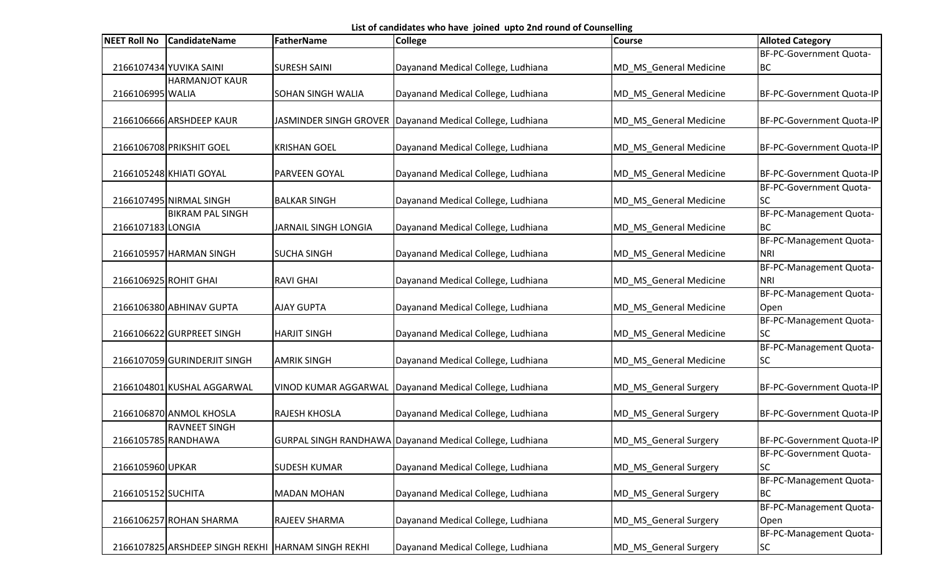List of candidates who have joined upto 2nd round of Counselling

| <b>NEET Roll No</b>   | <b>CandidateName</b>                                 | FatherName                  | <b>College</b>                                              | <b>Course</b>          | <b>Alloted Category</b>   |
|-----------------------|------------------------------------------------------|-----------------------------|-------------------------------------------------------------|------------------------|---------------------------|
|                       |                                                      |                             |                                                             |                        | BF-PC-Government Quota-   |
|                       | 2166107434 YUVIKA SAINI                              | <b>SURESH SAINI</b>         | Dayanand Medical College, Ludhiana                          | MD_MS_General Medicine | <b>BC</b>                 |
|                       | <b>HARMANJOT KAUR</b>                                |                             |                                                             |                        |                           |
| 2166106995 WALIA      |                                                      | <b>SOHAN SINGH WALIA</b>    | Dayanand Medical College, Ludhiana                          | MD_MS_General Medicine | BF-PC-Government Quota-IP |
|                       |                                                      |                             |                                                             |                        |                           |
|                       | 2166106666 ARSHDEEP KAUR                             |                             | JASMINDER SINGH GROVER   Dayanand Medical College, Ludhiana | MD_MS_General Medicine | BF-PC-Government Quota-IP |
|                       |                                                      |                             |                                                             |                        |                           |
|                       | 2166106708 PRIKSHIT GOEL                             | <b>KRISHAN GOEL</b>         | Dayanand Medical College, Ludhiana                          | MD_MS_General Medicine | BF-PC-Government Quota-IP |
|                       |                                                      |                             |                                                             |                        |                           |
|                       | 2166105248 KHIATI GOYAL                              | PARVEEN GOYAL               | Dayanand Medical College, Ludhiana                          | MD_MS_General Medicine | BF-PC-Government Quota-IP |
|                       |                                                      |                             |                                                             |                        | BF-PC-Government Quota-   |
|                       | 2166107495 NIRMAL SINGH                              | <b>BALKAR SINGH</b>         | Dayanand Medical College, Ludhiana                          | MD_MS_General Medicine | <b>SC</b>                 |
|                       | <b>BIKRAM PAL SINGH</b>                              |                             |                                                             |                        | BF-PC-Management Quota-   |
| 2166107183 LONGIA     |                                                      | <b>JARNAIL SINGH LONGIA</b> | Dayanand Medical College, Ludhiana                          | MD_MS_General Medicine | <b>BC</b>                 |
|                       |                                                      |                             |                                                             |                        | BF-PC-Management Quota-   |
|                       | 2166105957 HARMAN SINGH                              | <b>SUCHA SINGH</b>          | Dayanand Medical College, Ludhiana                          | MD_MS_General Medicine | <b>NRI</b>                |
|                       |                                                      |                             |                                                             |                        | BF-PC-Management Quota-   |
| 2166106925 ROHIT GHAI |                                                      | <b>RAVI GHAI</b>            | Dayanand Medical College, Ludhiana                          | MD_MS_General Medicine | <b>NRI</b>                |
|                       |                                                      |                             |                                                             |                        | BF-PC-Management Quota-   |
|                       | 2166106380 ABHINAV GUPTA                             | <b>AJAY GUPTA</b>           | Dayanand Medical College, Ludhiana                          | MD_MS_General Medicine | Open                      |
|                       |                                                      |                             |                                                             |                        | BF-PC-Management Quota-   |
|                       | 2166106622 GURPREET SINGH                            | <b>HARJIT SINGH</b>         | Dayanand Medical College, Ludhiana                          | MD_MS_General Medicine | <b>SC</b>                 |
|                       |                                                      |                             |                                                             |                        | BF-PC-Management Quota-   |
|                       | 2166107059 GURINDERJIT SINGH                         | <b>AMRIK SINGH</b>          | Dayanand Medical College, Ludhiana                          | MD_MS_General Medicine | SC                        |
|                       |                                                      |                             |                                                             |                        |                           |
|                       | 2166104801 KUSHAL AGGARWAL                           | VINOD KUMAR AGGARWAL        | Dayanand Medical College, Ludhiana                          | MD_MS_General Surgery  | BF-PC-Government Quota-IP |
|                       |                                                      |                             |                                                             |                        |                           |
|                       | 2166106870 ANMOL KHOSLA                              | <b>RAJESH KHOSLA</b>        | Dayanand Medical College, Ludhiana                          | MD_MS_General Surgery  | BF-PC-Government Quota-IP |
|                       | <b>RAVNEET SINGH</b>                                 |                             |                                                             |                        |                           |
|                       | 2166105785 RANDHAWA                                  |                             | GURPAL SINGH RANDHAWA Dayanand Medical College, Ludhiana    | MD MS General Surgery  | BF-PC-Government Quota-IP |
|                       |                                                      |                             |                                                             |                        | BF-PC-Government Quota-   |
| 2166105960 UPKAR      |                                                      | <b>SUDESH KUMAR</b>         | Dayanand Medical College, Ludhiana                          | MD_MS_General Surgery  | <b>SC</b>                 |
|                       |                                                      |                             |                                                             |                        | BF-PC-Management Quota-   |
| 2166105152 SUCHITA    |                                                      | <b>MADAN MOHAN</b>          | Dayanand Medical College, Ludhiana                          | MD_MS_General Surgery  | <b>BC</b>                 |
|                       |                                                      |                             |                                                             |                        | BF-PC-Management Quota-   |
|                       | 2166106257 ROHAN SHARMA                              | RAJEEV SHARMA               | Dayanand Medical College, Ludhiana                          | MD_MS_General Surgery  | Open                      |
|                       |                                                      |                             |                                                             |                        | BF-PC-Management Quota-   |
|                       | 2166107825 ARSHDEEP SINGH REKHI   HARNAM SINGH REKHI |                             | Dayanand Medical College, Ludhiana                          | MD_MS_General Surgery  | <b>SC</b>                 |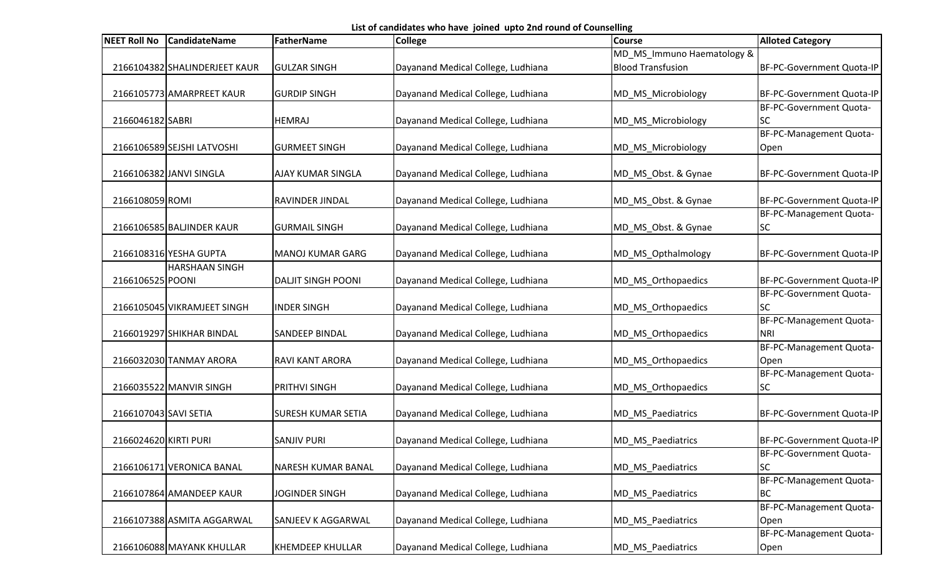List of candidates who have joined upto 2nd round of Counselling

| <b>NEET Roll No</b>   | <b>CandidateName</b>          | FatherName                | <b>College</b>                     | <b>Course</b>              | <b>Alloted Category</b>   |
|-----------------------|-------------------------------|---------------------------|------------------------------------|----------------------------|---------------------------|
|                       |                               |                           |                                    | MD_MS_Immuno Haematology & |                           |
|                       | 2166104382 SHALINDERJEET KAUR | <b>GULZAR SINGH</b>       | Dayanand Medical College, Ludhiana | <b>Blood Transfusion</b>   | BF-PC-Government Quota-IP |
|                       |                               |                           |                                    |                            |                           |
|                       | 2166105773 AMARPREET KAUR     | <b>GURDIP SINGH</b>       | Dayanand Medical College, Ludhiana | MD_MS_Microbiology         | BF-PC-Government Quota-IP |
|                       |                               |                           |                                    |                            | BF-PC-Government Quota-   |
| 2166046182 SABRI      |                               | <b>HEMRAJ</b>             | Dayanand Medical College, Ludhiana | MD_MS_Microbiology         | <b>SC</b>                 |
|                       |                               |                           |                                    |                            | BF-PC-Management Quota-   |
|                       | 2166106589 SEJSHI LATVOSHI    | <b>GURMEET SINGH</b>      | Dayanand Medical College, Ludhiana | MD_MS_Microbiology         | Open                      |
|                       |                               |                           |                                    |                            |                           |
|                       | 2166106382 JANVI SINGLA       | <b>AJAY KUMAR SINGLA</b>  | Dayanand Medical College, Ludhiana | MD_MS_Obst. & Gynae        | BF-PC-Government Quota-IP |
|                       |                               |                           |                                    |                            |                           |
| 2166108059 ROMI       |                               | <b>RAVINDER JINDAL</b>    | Dayanand Medical College, Ludhiana | MD_MS_Obst. & Gynae        | BF-PC-Government Quota-IP |
|                       |                               |                           |                                    |                            | BF-PC-Management Quota-   |
|                       | 2166106585 BALJINDER KAUR     | <b>GURMAIL SINGH</b>      | Dayanand Medical College, Ludhiana | MD_MS_Obst. & Gynae        | <b>SC</b>                 |
|                       |                               |                           |                                    |                            |                           |
|                       | 2166108316 YESHA GUPTA        | <b>IMANOJ KUMAR GARG</b>  | Dayanand Medical College, Ludhiana | MD_MS_Opthalmology         | BF-PC-Government Quota-IP |
|                       | <b>HARSHAAN SINGH</b>         |                           |                                    |                            |                           |
| 2166106525 POONI      |                               | <b>DALIIT SINGH POONI</b> | Dayanand Medical College, Ludhiana | MD_MS_Orthopaedics         | BF-PC-Government Quota-IP |
|                       |                               |                           |                                    |                            | BF-PC-Government Quota-   |
|                       | 2166105045 VIKRAMJEET SINGH   | <b>INDER SINGH</b>        | Dayanand Medical College, Ludhiana | MD_MS_Orthopaedics         | lsc                       |
|                       |                               |                           |                                    |                            | BF-PC-Management Quota-   |
|                       | 2166019297 SHIKHAR BINDAL     | <b>SANDEEP BINDAL</b>     | Dayanand Medical College, Ludhiana | MD_MS_Orthopaedics         | <b>NRI</b>                |
|                       |                               |                           |                                    |                            | BF-PC-Management Quota-   |
|                       | 2166032030 TANMAY ARORA       | <b>RAVI KANT ARORA</b>    | Dayanand Medical College, Ludhiana | MD_MS_Orthopaedics         | Open                      |
|                       |                               |                           |                                    |                            | BF-PC-Management Quota-   |
|                       | 2166035522 MANVIR SINGH       | <b>PRITHVI SINGH</b>      | Dayanand Medical College, Ludhiana | MD_MS_Orthopaedics         | <b>SC</b>                 |
|                       |                               |                           |                                    |                            |                           |
| 2166107043 SAVI SETIA |                               | <b>SURESH KUMAR SETIA</b> | Dayanand Medical College, Ludhiana | MD_MS_Paediatrics          | BF-PC-Government Quota-IP |
|                       |                               |                           |                                    |                            |                           |
| 2166024620 KIRTI PURI |                               | <b>SANJIV PURI</b>        | Dayanand Medical College, Ludhiana | MD MS Paediatrics          | BF-PC-Government Quota-IP |
|                       |                               |                           |                                    |                            | BF-PC-Government Quota-   |
|                       | 2166106171 VERONICA BANAL     | NARESH KUMAR BANAL        | Dayanand Medical College, Ludhiana | MD MS Paediatrics          | <b>SC</b>                 |
|                       |                               |                           |                                    |                            | BF-PC-Management Quota-   |
|                       | 2166107864 AMANDEEP KAUR      | <b>JOGINDER SINGH</b>     | Dayanand Medical College, Ludhiana | MD_MS_Paediatrics          | <b>BC</b>                 |
|                       |                               |                           |                                    |                            | BF-PC-Management Quota-   |
|                       | 2166107388 ASMITA AGGARWAL    | <b>SANJEEV K AGGARWAL</b> |                                    |                            |                           |
|                       |                               |                           | Dayanand Medical College, Ludhiana | MD_MS_Paediatrics          | Open                      |
|                       |                               |                           |                                    |                            | BF-PC-Management Quota-   |
|                       | 2166106088 MAYANK KHULLAR     | <b>KHEMDEEP KHULLAR</b>   | Dayanand Medical College, Ludhiana | MD_MS_Paediatrics          | Open                      |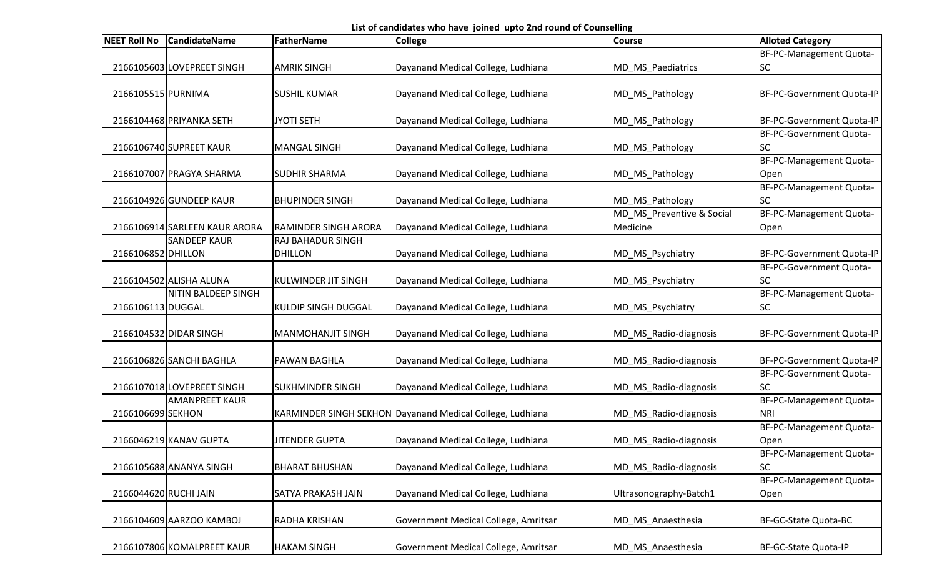List of candidates who have joined upto 2nd round of Counselling

| <b>NEET Roll No</b>   | <b>CandidateName</b>          | <b>FatherName</b>           | <b>College</b>                                            | <b>Course</b>             | <b>Alloted Category</b>   |
|-----------------------|-------------------------------|-----------------------------|-----------------------------------------------------------|---------------------------|---------------------------|
|                       |                               |                             |                                                           |                           | BF-PC-Management Quota-   |
|                       | 2166105603 LOVEPREET SINGH    | <b>AMRIK SINGH</b>          | Dayanand Medical College, Ludhiana                        | MD_MS_Paediatrics         | <b>SC</b>                 |
|                       |                               |                             |                                                           |                           |                           |
| 2166105515 PURNIMA    |                               | <b>SUSHIL KUMAR</b>         | Dayanand Medical College, Ludhiana                        | MD_MS_Pathology           | BF-PC-Government Quota-IP |
|                       |                               |                             |                                                           |                           |                           |
|                       | 2166104468 PRIYANKA SETH      | <b>JYOTI SETH</b>           | Dayanand Medical College, Ludhiana                        | MD_MS_Pathology           | BF-PC-Government Quota-IP |
|                       |                               |                             |                                                           |                           | BF-PC-Government Quota-   |
|                       | 2166106740 SUPREET KAUR       | <b>MANGAL SINGH</b>         | Dayanand Medical College, Ludhiana                        | MD_MS_Pathology           | <b>SC</b>                 |
|                       |                               |                             |                                                           |                           | BF-PC-Management Quota-   |
|                       | 2166107007 PRAGYA SHARMA      | <b>SUDHIR SHARMA</b>        | Dayanand Medical College, Ludhiana                        | MD_MS_Pathology           | Open                      |
|                       |                               |                             |                                                           |                           | BF-PC-Management Quota-   |
|                       | 2166104926 GUNDEEP KAUR       | <b>BHUPINDER SINGH</b>      | Dayanand Medical College, Ludhiana                        | MD_MS_Pathology           | <b>SC</b>                 |
|                       |                               |                             |                                                           | MD_MS_Preventive & Social | BF-PC-Management Quota-   |
|                       | 2166106914 SARLEEN KAUR ARORA | <b>RAMINDER SINGH ARORA</b> | Dayanand Medical College, Ludhiana                        | Medicine                  | Open                      |
|                       | <b>SANDEEP KAUR</b>           | RAJ BAHADUR SINGH           |                                                           |                           |                           |
| 2166106852 DHILLON    |                               | <b>DHILLON</b>              | Dayanand Medical College, Ludhiana                        | MD_MS_Psychiatry          | BF-PC-Government Quota-IP |
|                       |                               |                             |                                                           |                           | BF-PC-Government Quota-   |
|                       | 2166104502 ALISHA ALUNA       | <b>KULWINDER JIT SINGH</b>  | Dayanand Medical College, Ludhiana                        | MD_MS_Psychiatry          | SC                        |
|                       | NITIN BALDEEP SINGH           |                             |                                                           |                           | BF-PC-Management Quota-   |
| 2166106113 DUGGAL     |                               | <b>KULDIP SINGH DUGGAL</b>  | Dayanand Medical College, Ludhiana                        | MD_MS_Psychiatry          | SC                        |
|                       |                               |                             |                                                           |                           |                           |
|                       | 2166104532 DIDAR SINGH        | <b>MANMOHANJIT SINGH</b>    | Dayanand Medical College, Ludhiana                        | MD_MS_Radio-diagnosis     | BF-PC-Government Quota-IP |
|                       |                               |                             |                                                           |                           |                           |
|                       | 2166106826 SANCHI BAGHLA      | <b>PAWAN BAGHLA</b>         | Dayanand Medical College, Ludhiana                        | MD_MS_Radio-diagnosis     | BF-PC-Government Quota-IP |
|                       |                               |                             |                                                           |                           | BF-PC-Government Quota-   |
|                       | 2166107018 LOVEPREET SINGH    | <b>SUKHMINDER SINGH</b>     | Dayanand Medical College, Ludhiana                        | MD_MS_Radio-diagnosis     | SC                        |
|                       | <b>AMANPREET KAUR</b>         |                             |                                                           |                           | BF-PC-Management Quota-   |
| 2166106699 SEKHON     |                               |                             | KARMINDER SINGH SEKHON Dayanand Medical College, Ludhiana | MD_MS_Radio-diagnosis     | <b>NRI</b>                |
|                       |                               |                             |                                                           |                           | BF-PC-Management Quota-   |
|                       | 2166046219 KANAV GUPTA        | <b>JITENDER GUPTA</b>       | Dayanand Medical College, Ludhiana                        | MD_MS_Radio-diagnosis     | Open                      |
|                       |                               |                             |                                                           |                           | BF-PC-Management Quota-   |
|                       | 2166105688 ANANYA SINGH       | <b>BHARAT BHUSHAN</b>       | Dayanand Medical College, Ludhiana                        | MD_MS_Radio-diagnosis     | SC                        |
|                       |                               |                             |                                                           |                           | BF-PC-Management Quota-   |
| 2166044620 RUCHI JAIN |                               | SATYA PRAKASH JAIN          | Dayanand Medical College, Ludhiana                        | Ultrasonography-Batch1    | Open                      |
|                       |                               |                             |                                                           |                           |                           |
|                       | 2166104609 AARZOO KAMBOJ      | RADHA KRISHAN               | Government Medical College, Amritsar                      | MD_MS_Anaesthesia         | BF-GC-State Quota-BC      |
|                       |                               |                             |                                                           |                           |                           |
|                       | 2166107806 KOMALPREET KAUR    | <b>HAKAM SINGH</b>          | Government Medical College, Amritsar                      | MD_MS_Anaesthesia         | BF-GC-State Quota-IP      |
|                       |                               |                             |                                                           |                           |                           |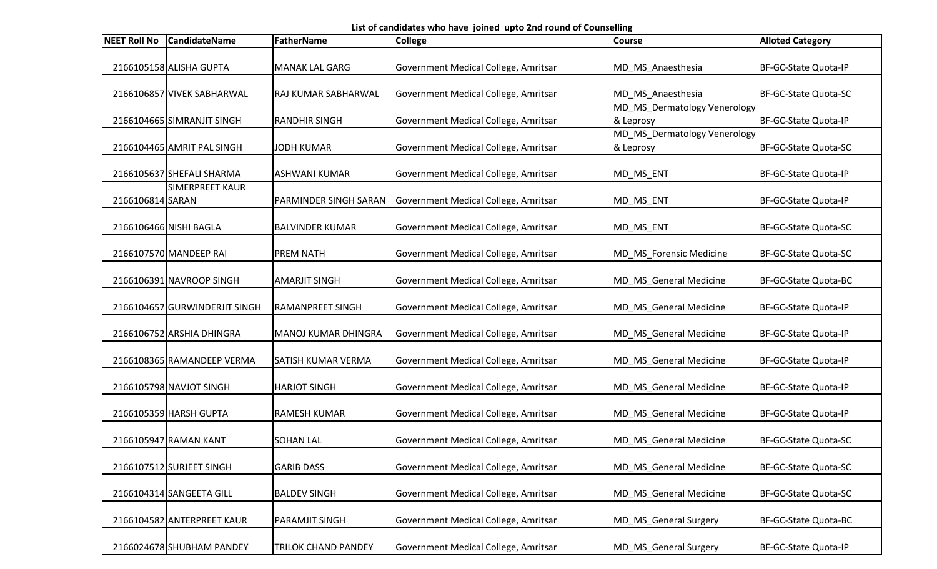List of candidates who have joined upto 2nd round of Counselling

| <b>NEET Roll No</b> | <b>CandidateName</b>          | <b>FatherName</b>          | <b>College</b>                       | <b>Course</b>                             | <b>Alloted Category</b> |
|---------------------|-------------------------------|----------------------------|--------------------------------------|-------------------------------------------|-------------------------|
|                     | 2166105158 ALISHA GUPTA       | <b>MANAK LAL GARG</b>      | Government Medical College, Amritsar | MD_MS_Anaesthesia                         | BF-GC-State Quota-IP    |
|                     | 2166106857 VIVEK SABHARWAL    | RAJ KUMAR SABHARWAL        | Government Medical College, Amritsar | MD_MS_Anaesthesia                         | BF-GC-State Quota-SC    |
|                     | 2166104665 SIMRANJIT SINGH    | <b>RANDHIR SINGH</b>       | Government Medical College, Amritsar | MD_MS_Dermatology Venerology<br>& Leprosy | BF-GC-State Quota-IP    |
|                     | 2166104465 AMRIT PAL SINGH    | <b>JODH KUMAR</b>          | Government Medical College, Amritsar | MD MS Dermatology Venerology<br>& Leprosy | BF-GC-State Quota-SC    |
|                     | 2166105637 SHEFALI SHARMA     | <b>ASHWANI KUMAR</b>       | Government Medical College, Amritsar | MD_MS_ENT                                 | BF-GC-State Quota-IP    |
| 2166106814 SARAN    | <b>SIMERPREET KAUR</b>        | PARMINDER SINGH SARAN      | Government Medical College, Amritsar | MD_MS_ENT                                 | BF-GC-State Quota-IP    |
|                     | 2166106466 NISHI BAGLA        | <b>BALVINDER KUMAR</b>     | Government Medical College, Amritsar | MD_MS_ENT                                 | BF-GC-State Quota-SC    |
|                     | 2166107570 MANDEEP RAI        | <b>PREM NATH</b>           | Government Medical College, Amritsar | MD MS Forensic Medicine                   | BF-GC-State Quota-SC    |
|                     | 2166106391 NAVROOP SINGH      | <b>AMARJIT SINGH</b>       | Government Medical College, Amritsar | MD_MS_General Medicine                    | BF-GC-State Quota-BC    |
|                     | 2166104657 GURWINDERJIT SINGH | <b>RAMANPREET SINGH</b>    | Government Medical College, Amritsar | MD_MS_General Medicine                    | BF-GC-State Quota-IP    |
|                     | 2166106752 ARSHIA DHINGRA     | <b>MANOJ KUMAR DHINGRA</b> | Government Medical College, Amritsar | MD_MS_General Medicine                    | BF-GC-State Quota-IP    |
|                     | 2166108365 RAMANDEEP VERMA    | <b>SATISH KUMAR VERMA</b>  | Government Medical College, Amritsar | MD_MS_General Medicine                    | BF-GC-State Quota-IP    |
|                     | 2166105798 NAVJOT SINGH       | <b>HARJOT SINGH</b>        | Government Medical College, Amritsar | MD_MS_General Medicine                    | BF-GC-State Quota-IP    |
|                     | 2166105359 HARSH GUPTA        | <b>RAMESH KUMAR</b>        | Government Medical College, Amritsar | MD_MS_General Medicine                    | BF-GC-State Quota-IP    |
|                     | 2166105947 RAMAN KANT         | <b>SOHAN LAL</b>           | Government Medical College, Amritsar | MD MS General Medicine                    | BF-GC-State Quota-SC    |
|                     | 2166107512 SURJEET SINGH      | <b>GARIB DASS</b>          | Government Medical College, Amritsar | MD MS General Medicine                    | BF-GC-State Quota-SC    |
|                     | 2166104314 SANGEETA GILL      | <b>BALDEV SINGH</b>        | Government Medical College, Amritsar | MD_MS_General Medicine                    | BF-GC-State Quota-SC    |
|                     | 2166104582 ANTERPREET KAUR    | <b>PARAMJIT SINGH</b>      | Government Medical College, Amritsar | MD_MS_General Surgery                     | BF-GC-State Quota-BC    |
|                     | 2166024678 SHUBHAM PANDEY     | <b>TRILOK CHAND PANDEY</b> | Government Medical College, Amritsar | MD_MS_General Surgery                     | BF-GC-State Quota-IP    |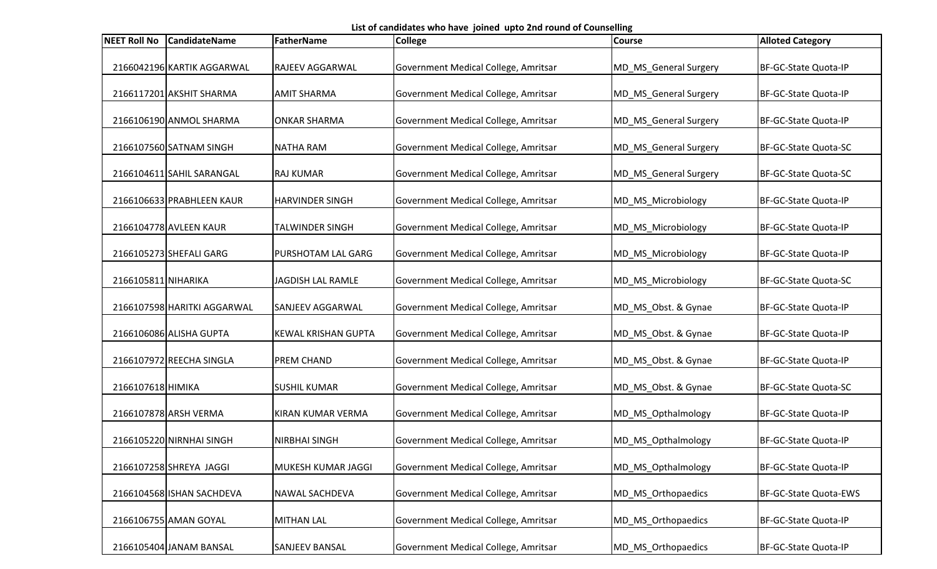List of candidates who have joined upto 2nd round of Counselling

| <b>NEET Roll No</b> | <b>CandidateName</b>        | FatherName                 | <b>College</b>                       | <b>Course</b>         | <b>Alloted Category</b> |
|---------------------|-----------------------------|----------------------------|--------------------------------------|-----------------------|-------------------------|
|                     | 2166042196 KARTIK AGGARWAL  | <b>RAJEEV AGGARWAL</b>     | Government Medical College, Amritsar | MD_MS_General Surgery | BF-GC-State Quota-IP    |
|                     | 2166117201 AKSHIT SHARMA    | <b>AMIT SHARMA</b>         | Government Medical College, Amritsar | MD_MS_General Surgery | BF-GC-State Quota-IP    |
|                     | 2166106190 ANMOL SHARMA     | <b>ONKAR SHARMA</b>        | Government Medical College, Amritsar | MD_MS_General Surgery | BF-GC-State Quota-IP    |
|                     | 2166107560 SATNAM SINGH     | <b>NATHA RAM</b>           | Government Medical College, Amritsar | MD_MS_General Surgery | BF-GC-State Quota-SC    |
|                     | 2166104611 SAHIL SARANGAL   | <b>RAJ KUMAR</b>           | Government Medical College, Amritsar | MD_MS_General Surgery | BF-GC-State Quota-SC    |
|                     | 2166106633 PRABHLEEN KAUR   | <b>HARVINDER SINGH</b>     | Government Medical College, Amritsar | MD_MS_Microbiology    | BF-GC-State Quota-IP    |
|                     | 2166104778 AVLEEN KAUR      | TALWINDER SINGH            | Government Medical College, Amritsar | MD_MS_Microbiology    | BF-GC-State Quota-IP    |
|                     | 2166105273 SHEFALI GARG     | PURSHOTAM LAL GARG         | Government Medical College, Amritsar | MD MS Microbiology    | BF-GC-State Quota-IP    |
| 2166105811 NIHARIKA |                             | JAGDISH LAL RAMLE          | Government Medical College, Amritsar | MD_MS_Microbiology    | BF-GC-State Quota-SC    |
|                     | 2166107598 HARITKI AGGARWAL | <b>SANJEEV AGGARWAL</b>    | Government Medical College, Amritsar | MD_MS_Obst. & Gynae   | BF-GC-State Quota-IP    |
|                     | 2166106086 ALISHA GUPTA     | <b>KEWAL KRISHAN GUPTA</b> | Government Medical College, Amritsar | MD_MS_Obst. & Gynae   | BF-GC-State Quota-IP    |
|                     | 2166107972 REECHA SINGLA    | <b>PREM CHAND</b>          | Government Medical College, Amritsar | MD_MS_Obst. & Gynae   | BF-GC-State Quota-IP    |
| 2166107618 HIMIKA   |                             | <b>SUSHIL KUMAR</b>        | Government Medical College, Amritsar | MD_MS_Obst. & Gynae   | BF-GC-State Quota-SC    |
|                     | 2166107878 ARSH VERMA       | KIRAN KUMAR VERMA          | Government Medical College, Amritsar | MD_MS_Opthalmology    | BF-GC-State Quota-IP    |
|                     | 2166105220 NIRNHAI SINGH    | <b>NIRBHAI SINGH</b>       | Government Medical College, Amritsar | MD_MS_Opthalmology    | BF-GC-State Quota-IP    |
|                     | 2166107258 SHREYA JAGGI     | MUKESH KUMAR JAGGI         | Government Medical College, Amritsar | MD MS Opthalmology    | BF-GC-State Quota-IP    |
|                     | 2166104568 ISHAN SACHDEVA   | <b>NAWAL SACHDEVA</b>      | Government Medical College, Amritsar | MD_MS_Orthopaedics    | BF-GC-State Quota-EWS   |
|                     | 2166106755 AMAN GOYAL       | <b>MITHAN LAL</b>          | Government Medical College, Amritsar | MD_MS_Orthopaedics    | BF-GC-State Quota-IP    |
|                     | 2166105404 JANAM BANSAL     | <b>SANJEEV BANSAL</b>      | Government Medical College, Amritsar | MD MS Orthopaedics    | BF-GC-State Quota-IP    |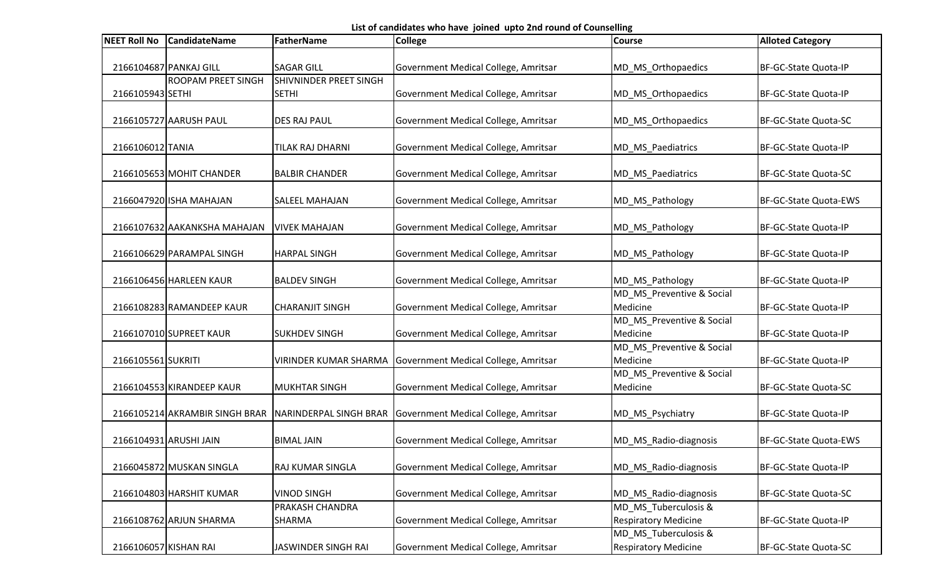List of candidates who have joined upto 2nd round of Counselling

| 2166104687 PANKAJ GILL<br><b>SAGAR GILL</b><br>Government Medical College, Amritsar<br>MD MS Orthopaedics<br>BF-GC-State Quota-IP<br><b>ROOPAM PREET SINGH</b><br><b>SHIVNINDER PREET SINGH</b><br>2166105943 SETHI<br><b>SETHI</b><br>Government Medical College, Amritsar<br>MD MS Orthopaedics<br>BF-GC-State Quota-IP<br>2166105727 AARUSH PAUL<br><b>DES RAJ PAUL</b><br>Government Medical College, Amritsar<br>MD_MS_Orthopaedics<br>BF-GC-State Quota-SC<br>2166106012 TANIA<br>Government Medical College, Amritsar<br>TILAK RAJ DHARNI<br>MD_MS_Paediatrics<br>BF-GC-State Quota-IP<br>2166105653 MOHIT CHANDER<br><b>BALBIR CHANDER</b><br>Government Medical College, Amritsar<br>MD_MS_Paediatrics<br>BF-GC-State Quota-SC<br>2166047920 ISHA MAHAJAN<br>Government Medical College, Amritsar<br>BF-GC-State Quota-EWS<br><b>SALEEL MAHAJAN</b><br>MD_MS_Pathology<br>2166107632 AAKANKSHA MAHAJAN<br>Government Medical College, Amritsar<br>BF-GC-State Quota-IP<br><b>VIVEK MAHAJAN</b><br>MD_MS_Pathology<br>2166106629 PARAMPAL SINGH<br><b>HARPAL SINGH</b><br>Government Medical College, Amritsar<br>MD_MS_Pathology<br>BF-GC-State Quota-IP<br>2166106456 HARLEEN KAUR<br>Government Medical College, Amritsar<br>BF-GC-State Quota-IP<br><b>BALDEV SINGH</b><br>MD_MS_Pathology<br>MD_MS_Preventive & Social<br>Medicine<br>2166108283 RAMANDEEP KAUR<br><b>CHARANJIT SINGH</b><br>Government Medical College, Amritsar<br>BF-GC-State Quota-IP<br>MD_MS_Preventive & Social<br>2166107010 SUPREET KAUR<br><b>SUKHDEV SINGH</b><br>BF-GC-State Quota-IP<br>Government Medical College, Amritsar<br>Medicine<br>MD_MS_Preventive & Social<br>2166105561 SUKRITI<br>Medicine<br>Government Medical College, Amritsar<br>BF-GC-State Quota-IP<br><b>VIRINDER KUMAR SHARMA</b><br>MD_MS_Preventive & Social | <b>NEET Roll No</b> | <b>CandidateName</b> | <b>FatherName</b>    | <b>College</b>                       | <b>Course</b> | <b>Alloted Category</b> |
|--------------------------------------------------------------------------------------------------------------------------------------------------------------------------------------------------------------------------------------------------------------------------------------------------------------------------------------------------------------------------------------------------------------------------------------------------------------------------------------------------------------------------------------------------------------------------------------------------------------------------------------------------------------------------------------------------------------------------------------------------------------------------------------------------------------------------------------------------------------------------------------------------------------------------------------------------------------------------------------------------------------------------------------------------------------------------------------------------------------------------------------------------------------------------------------------------------------------------------------------------------------------------------------------------------------------------------------------------------------------------------------------------------------------------------------------------------------------------------------------------------------------------------------------------------------------------------------------------------------------------------------------------------------------------------------------------------------------------------------------------------------------------------------------------------------------------------|---------------------|----------------------|----------------------|--------------------------------------|---------------|-------------------------|
|                                                                                                                                                                                                                                                                                                                                                                                                                                                                                                                                                                                                                                                                                                                                                                                                                                                                                                                                                                                                                                                                                                                                                                                                                                                                                                                                                                                                                                                                                                                                                                                                                                                                                                                                                                                                                                |                     |                      |                      |                                      |               |                         |
|                                                                                                                                                                                                                                                                                                                                                                                                                                                                                                                                                                                                                                                                                                                                                                                                                                                                                                                                                                                                                                                                                                                                                                                                                                                                                                                                                                                                                                                                                                                                                                                                                                                                                                                                                                                                                                |                     |                      |                      |                                      |               |                         |
|                                                                                                                                                                                                                                                                                                                                                                                                                                                                                                                                                                                                                                                                                                                                                                                                                                                                                                                                                                                                                                                                                                                                                                                                                                                                                                                                                                                                                                                                                                                                                                                                                                                                                                                                                                                                                                |                     |                      |                      |                                      |               |                         |
|                                                                                                                                                                                                                                                                                                                                                                                                                                                                                                                                                                                                                                                                                                                                                                                                                                                                                                                                                                                                                                                                                                                                                                                                                                                                                                                                                                                                                                                                                                                                                                                                                                                                                                                                                                                                                                |                     |                      |                      |                                      |               |                         |
|                                                                                                                                                                                                                                                                                                                                                                                                                                                                                                                                                                                                                                                                                                                                                                                                                                                                                                                                                                                                                                                                                                                                                                                                                                                                                                                                                                                                                                                                                                                                                                                                                                                                                                                                                                                                                                |                     |                      |                      |                                      |               |                         |
|                                                                                                                                                                                                                                                                                                                                                                                                                                                                                                                                                                                                                                                                                                                                                                                                                                                                                                                                                                                                                                                                                                                                                                                                                                                                                                                                                                                                                                                                                                                                                                                                                                                                                                                                                                                                                                |                     |                      |                      |                                      |               |                         |
|                                                                                                                                                                                                                                                                                                                                                                                                                                                                                                                                                                                                                                                                                                                                                                                                                                                                                                                                                                                                                                                                                                                                                                                                                                                                                                                                                                                                                                                                                                                                                                                                                                                                                                                                                                                                                                |                     |                      |                      |                                      |               |                         |
|                                                                                                                                                                                                                                                                                                                                                                                                                                                                                                                                                                                                                                                                                                                                                                                                                                                                                                                                                                                                                                                                                                                                                                                                                                                                                                                                                                                                                                                                                                                                                                                                                                                                                                                                                                                                                                |                     |                      |                      |                                      |               |                         |
|                                                                                                                                                                                                                                                                                                                                                                                                                                                                                                                                                                                                                                                                                                                                                                                                                                                                                                                                                                                                                                                                                                                                                                                                                                                                                                                                                                                                                                                                                                                                                                                                                                                                                                                                                                                                                                |                     |                      |                      |                                      |               |                         |
|                                                                                                                                                                                                                                                                                                                                                                                                                                                                                                                                                                                                                                                                                                                                                                                                                                                                                                                                                                                                                                                                                                                                                                                                                                                                                                                                                                                                                                                                                                                                                                                                                                                                                                                                                                                                                                |                     |                      |                      |                                      |               |                         |
|                                                                                                                                                                                                                                                                                                                                                                                                                                                                                                                                                                                                                                                                                                                                                                                                                                                                                                                                                                                                                                                                                                                                                                                                                                                                                                                                                                                                                                                                                                                                                                                                                                                                                                                                                                                                                                |                     |                      |                      |                                      |               |                         |
|                                                                                                                                                                                                                                                                                                                                                                                                                                                                                                                                                                                                                                                                                                                                                                                                                                                                                                                                                                                                                                                                                                                                                                                                                                                                                                                                                                                                                                                                                                                                                                                                                                                                                                                                                                                                                                |                     |                      |                      |                                      |               |                         |
|                                                                                                                                                                                                                                                                                                                                                                                                                                                                                                                                                                                                                                                                                                                                                                                                                                                                                                                                                                                                                                                                                                                                                                                                                                                                                                                                                                                                                                                                                                                                                                                                                                                                                                                                                                                                                                |                     |                      |                      |                                      |               |                         |
|                                                                                                                                                                                                                                                                                                                                                                                                                                                                                                                                                                                                                                                                                                                                                                                                                                                                                                                                                                                                                                                                                                                                                                                                                                                                                                                                                                                                                                                                                                                                                                                                                                                                                                                                                                                                                                |                     |                      |                      |                                      |               |                         |
|                                                                                                                                                                                                                                                                                                                                                                                                                                                                                                                                                                                                                                                                                                                                                                                                                                                                                                                                                                                                                                                                                                                                                                                                                                                                                                                                                                                                                                                                                                                                                                                                                                                                                                                                                                                                                                |                     |                      |                      |                                      |               |                         |
|                                                                                                                                                                                                                                                                                                                                                                                                                                                                                                                                                                                                                                                                                                                                                                                                                                                                                                                                                                                                                                                                                                                                                                                                                                                                                                                                                                                                                                                                                                                                                                                                                                                                                                                                                                                                                                |                     |                      |                      |                                      |               |                         |
|                                                                                                                                                                                                                                                                                                                                                                                                                                                                                                                                                                                                                                                                                                                                                                                                                                                                                                                                                                                                                                                                                                                                                                                                                                                                                                                                                                                                                                                                                                                                                                                                                                                                                                                                                                                                                                |                     |                      |                      |                                      |               |                         |
|                                                                                                                                                                                                                                                                                                                                                                                                                                                                                                                                                                                                                                                                                                                                                                                                                                                                                                                                                                                                                                                                                                                                                                                                                                                                                                                                                                                                                                                                                                                                                                                                                                                                                                                                                                                                                                |                     |                      |                      |                                      |               |                         |
|                                                                                                                                                                                                                                                                                                                                                                                                                                                                                                                                                                                                                                                                                                                                                                                                                                                                                                                                                                                                                                                                                                                                                                                                                                                                                                                                                                                                                                                                                                                                                                                                                                                                                                                                                                                                                                |                     |                      |                      |                                      |               |                         |
|                                                                                                                                                                                                                                                                                                                                                                                                                                                                                                                                                                                                                                                                                                                                                                                                                                                                                                                                                                                                                                                                                                                                                                                                                                                                                                                                                                                                                                                                                                                                                                                                                                                                                                                                                                                                                                |                     |                      |                      |                                      |               |                         |
|                                                                                                                                                                                                                                                                                                                                                                                                                                                                                                                                                                                                                                                                                                                                                                                                                                                                                                                                                                                                                                                                                                                                                                                                                                                                                                                                                                                                                                                                                                                                                                                                                                                                                                                                                                                                                                |                     |                      |                      |                                      |               |                         |
|                                                                                                                                                                                                                                                                                                                                                                                                                                                                                                                                                                                                                                                                                                                                                                                                                                                                                                                                                                                                                                                                                                                                                                                                                                                                                                                                                                                                                                                                                                                                                                                                                                                                                                                                                                                                                                |                     |                      |                      |                                      |               |                         |
|                                                                                                                                                                                                                                                                                                                                                                                                                                                                                                                                                                                                                                                                                                                                                                                                                                                                                                                                                                                                                                                                                                                                                                                                                                                                                                                                                                                                                                                                                                                                                                                                                                                                                                                                                                                                                                |                     |                      |                      |                                      |               |                         |
|                                                                                                                                                                                                                                                                                                                                                                                                                                                                                                                                                                                                                                                                                                                                                                                                                                                                                                                                                                                                                                                                                                                                                                                                                                                                                                                                                                                                                                                                                                                                                                                                                                                                                                                                                                                                                                |                     |                      |                      |                                      |               |                         |
| 2166104553 KIRANDEEP KAUR                                                                                                                                                                                                                                                                                                                                                                                                                                                                                                                                                                                                                                                                                                                                                                                                                                                                                                                                                                                                                                                                                                                                                                                                                                                                                                                                                                                                                                                                                                                                                                                                                                                                                                                                                                                                      |                     |                      | <b>MUKHTAR SINGH</b> | Government Medical College, Amritsar | Medicine      | BF-GC-State Quota-SC    |
|                                                                                                                                                                                                                                                                                                                                                                                                                                                                                                                                                                                                                                                                                                                                                                                                                                                                                                                                                                                                                                                                                                                                                                                                                                                                                                                                                                                                                                                                                                                                                                                                                                                                                                                                                                                                                                |                     |                      |                      |                                      |               |                         |
| 2166105214 AKRAMBIR SINGH BRAR<br>Government Medical College, Amritsar<br>NARINDERPAL SINGH BRAR<br>MD_MS_Psychiatry<br>BF-GC-State Quota-IP                                                                                                                                                                                                                                                                                                                                                                                                                                                                                                                                                                                                                                                                                                                                                                                                                                                                                                                                                                                                                                                                                                                                                                                                                                                                                                                                                                                                                                                                                                                                                                                                                                                                                   |                     |                      |                      |                                      |               |                         |
|                                                                                                                                                                                                                                                                                                                                                                                                                                                                                                                                                                                                                                                                                                                                                                                                                                                                                                                                                                                                                                                                                                                                                                                                                                                                                                                                                                                                                                                                                                                                                                                                                                                                                                                                                                                                                                |                     |                      |                      |                                      |               |                         |
| Government Medical College, Amritsar<br>2166104931 ARUSHI JAIN<br><b>BIMAL JAIN</b><br>MD_MS_Radio-diagnosis<br>BF-GC-State Quota-EWS                                                                                                                                                                                                                                                                                                                                                                                                                                                                                                                                                                                                                                                                                                                                                                                                                                                                                                                                                                                                                                                                                                                                                                                                                                                                                                                                                                                                                                                                                                                                                                                                                                                                                          |                     |                      |                      |                                      |               |                         |
|                                                                                                                                                                                                                                                                                                                                                                                                                                                                                                                                                                                                                                                                                                                                                                                                                                                                                                                                                                                                                                                                                                                                                                                                                                                                                                                                                                                                                                                                                                                                                                                                                                                                                                                                                                                                                                |                     |                      |                      |                                      |               |                         |
| 2166045872 MUSKAN SINGLA<br>RAJ KUMAR SINGLA<br>Government Medical College, Amritsar<br>MD_MS_Radio-diagnosis<br>BF-GC-State Quota-IP                                                                                                                                                                                                                                                                                                                                                                                                                                                                                                                                                                                                                                                                                                                                                                                                                                                                                                                                                                                                                                                                                                                                                                                                                                                                                                                                                                                                                                                                                                                                                                                                                                                                                          |                     |                      |                      |                                      |               |                         |
| 2166104803 HARSHIT KUMAR<br>Government Medical College, Amritsar<br><b>VINOD SINGH</b><br>MD_MS_Radio-diagnosis<br>BF-GC-State Quota-SC                                                                                                                                                                                                                                                                                                                                                                                                                                                                                                                                                                                                                                                                                                                                                                                                                                                                                                                                                                                                                                                                                                                                                                                                                                                                                                                                                                                                                                                                                                                                                                                                                                                                                        |                     |                      |                      |                                      |               |                         |
| PRAKASH CHANDRA<br>MD MS Tuberculosis &                                                                                                                                                                                                                                                                                                                                                                                                                                                                                                                                                                                                                                                                                                                                                                                                                                                                                                                                                                                                                                                                                                                                                                                                                                                                                                                                                                                                                                                                                                                                                                                                                                                                                                                                                                                        |                     |                      |                      |                                      |               |                         |
| 2166108762 ARJUN SHARMA<br>Government Medical College, Amritsar<br><b>Respiratory Medicine</b><br>BF-GC-State Quota-IP<br><b>SHARMA</b>                                                                                                                                                                                                                                                                                                                                                                                                                                                                                                                                                                                                                                                                                                                                                                                                                                                                                                                                                                                                                                                                                                                                                                                                                                                                                                                                                                                                                                                                                                                                                                                                                                                                                        |                     |                      |                      |                                      |               |                         |
| MD_MS_Tuberculosis &                                                                                                                                                                                                                                                                                                                                                                                                                                                                                                                                                                                                                                                                                                                                                                                                                                                                                                                                                                                                                                                                                                                                                                                                                                                                                                                                                                                                                                                                                                                                                                                                                                                                                                                                                                                                           |                     |                      |                      |                                      |               |                         |
| Government Medical College, Amritsar<br><b>Respiratory Medicine</b><br>2166106057 KISHAN RAI<br>BF-GC-State Quota-SC<br>JASWINDER SINGH RAI                                                                                                                                                                                                                                                                                                                                                                                                                                                                                                                                                                                                                                                                                                                                                                                                                                                                                                                                                                                                                                                                                                                                                                                                                                                                                                                                                                                                                                                                                                                                                                                                                                                                                    |                     |                      |                      |                                      |               |                         |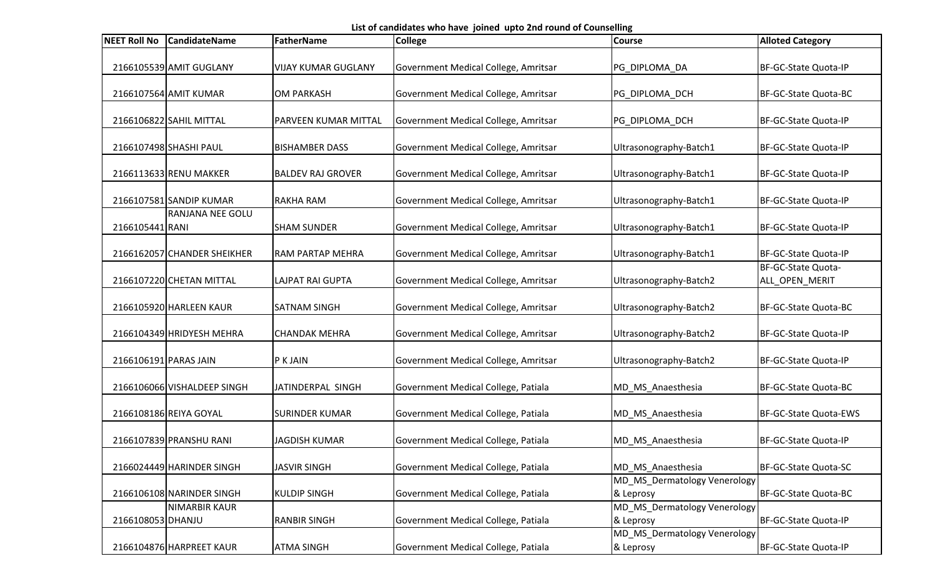List of candidates who have joined upto 2nd round of Counselling

| <b>NEET Roll No</b>   | <b>CandidateName</b>        | <b>FatherName</b>          | <b>College</b>                       | <b>Course</b>                             | <b>Alloted Category</b>              |
|-----------------------|-----------------------------|----------------------------|--------------------------------------|-------------------------------------------|--------------------------------------|
|                       | 2166105539 AMIT GUGLANY     | <b>VIJAY KUMAR GUGLANY</b> | Government Medical College, Amritsar | PG_DIPLOMA_DA                             | BF-GC-State Quota-IP                 |
|                       | 2166107564 AMIT KUMAR       | <b>OM PARKASH</b>          | Government Medical College, Amritsar | PG_DIPLOMA_DCH                            | BF-GC-State Quota-BC                 |
|                       | 2166106822 SAHIL MITTAL     | PARVEEN KUMAR MITTAL       | Government Medical College, Amritsar | PG_DIPLOMA_DCH                            | BF-GC-State Quota-IP                 |
|                       | 2166107498 SHASHI PAUL      | <b>BISHAMBER DASS</b>      | Government Medical College, Amritsar | Ultrasonography-Batch1                    | BF-GC-State Quota-IP                 |
|                       | 2166113633 RENU MAKKER      | <b>BALDEV RAJ GROVER</b>   | Government Medical College, Amritsar | Ultrasonography-Batch1                    | BF-GC-State Quota-IP                 |
|                       | 2166107581 SANDIP KUMAR     | <b>RAKHA RAM</b>           | Government Medical College, Amritsar | Ultrasonography-Batch1                    | BF-GC-State Quota-IP                 |
| 2166105441 RANI       | <b>RANJANA NEE GOLU</b>     | <b>SHAM SUNDER</b>         | Government Medical College, Amritsar | Ultrasonography-Batch1                    | BF-GC-State Quota-IP                 |
|                       | 2166162057 CHANDER SHEIKHER | <b>RAM PARTAP MEHRA</b>    | Government Medical College, Amritsar | Ultrasonography-Batch1                    | BF-GC-State Quota-IP                 |
|                       | 2166107220 CHETAN MITTAL    | <b>LAJPAT RAI GUPTA</b>    | Government Medical College, Amritsar | Ultrasonography-Batch2                    | BF-GC-State Quota-<br>ALL_OPEN_MERIT |
|                       | 2166105920 HARLEEN KAUR     | <b>SATNAM SINGH</b>        | Government Medical College, Amritsar | Ultrasonography-Batch2                    | BF-GC-State Quota-BC                 |
|                       | 2166104349 HRIDYESH MEHRA   | <b>CHANDAK MEHRA</b>       | Government Medical College, Amritsar | Ultrasonography-Batch2                    | BF-GC-State Quota-IP                 |
| 2166106191 PARAS JAIN |                             | P K JAIN                   | Government Medical College, Amritsar | Ultrasonography-Batch2                    | BF-GC-State Quota-IP                 |
|                       | 2166106066 VISHALDEEP SINGH | JATINDERPAL SINGH          | Government Medical College, Patiala  | MD_MS_Anaesthesia                         | BF-GC-State Quota-BC                 |
|                       | 2166108186 REIYA GOYAL      | <b>SURINDER KUMAR</b>      | Government Medical College, Patiala  | MD_MS_Anaesthesia                         | BF-GC-State Quota-EWS                |
|                       | 2166107839 PRANSHU RANI     | <b>JAGDISH KUMAR</b>       | Government Medical College, Patiala  | MD_MS_Anaesthesia                         | BF-GC-State Quota-IP                 |
|                       | 2166024449 HARINDER SINGH   | <b>JASVIR SINGH</b>        | Government Medical College, Patiala  | MD MS Anaesthesia                         | BF-GC-State Quota-SC                 |
|                       | 2166106108 NARINDER SINGH   | <b>KULDIP SINGH</b>        | Government Medical College, Patiala  | MD_MS_Dermatology Venerology<br>& Leprosy | BF-GC-State Quota-BC                 |
| 2166108053 DHANJU     | <b>NIMARBIR KAUR</b>        | <b>RANBIR SINGH</b>        | Government Medical College, Patiala  | MD_MS_Dermatology Venerology<br>& Leprosy | BF-GC-State Quota-IP                 |
|                       | 2166104876 HARPREET KAUR    | <b>ATMA SINGH</b>          | Government Medical College, Patiala  | MD_MS_Dermatology Venerology<br>& Leprosy | BF-GC-State Quota-IP                 |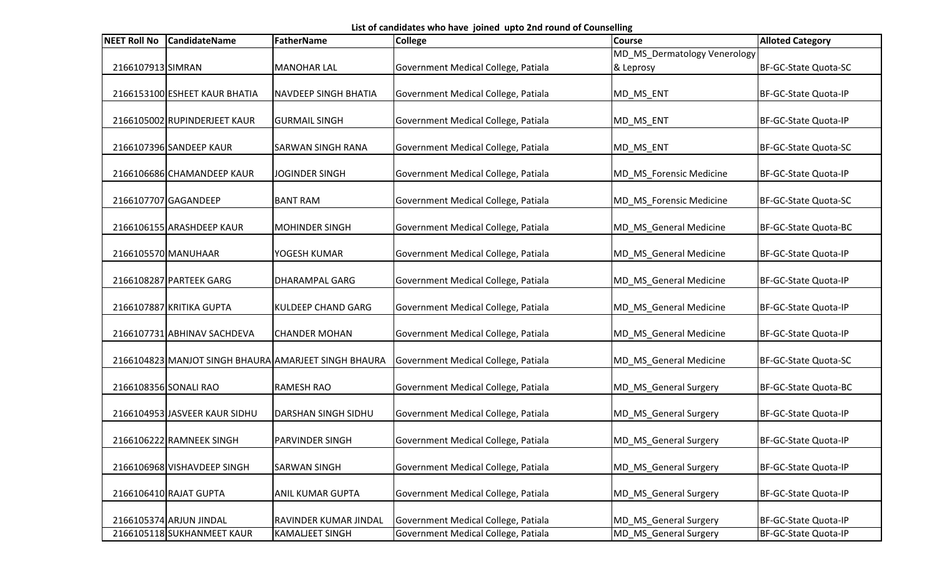List of candidates who have joined upto 2nd round of Counselling

| <b>NEET Roll No</b>   | <b>CandidateName</b>          | <b>FatherName</b>                                    | <b>College</b>                      | <b>Course</b>                | <b>Alloted Category</b> |
|-----------------------|-------------------------------|------------------------------------------------------|-------------------------------------|------------------------------|-------------------------|
|                       |                               |                                                      |                                     | MD_MS_Dermatology Venerology |                         |
| 2166107913 SIMRAN     |                               | <b>MANOHAR LAL</b>                                   | Government Medical College, Patiala | & Leprosy                    | BF-GC-State Quota-SC    |
|                       |                               |                                                      |                                     |                              |                         |
|                       | 2166153100 ESHEET KAUR BHATIA | <b>NAVDEEP SINGH BHATIA</b>                          | Government Medical College, Patiala | MD_MS_ENT                    | BF-GC-State Quota-IP    |
|                       | 2166105002 RUPINDERJEET KAUR  | <b>GURMAIL SINGH</b>                                 | Government Medical College, Patiala | MD_MS_ENT                    | BF-GC-State Quota-IP    |
|                       | 2166107396 SANDEEP KAUR       | <b>SARWAN SINGH RANA</b>                             | Government Medical College, Patiala | MD_MS_ENT                    | BF-GC-State Quota-SC    |
|                       | 2166106686 CHAMANDEEP KAUR    | <b>JOGINDER SINGH</b>                                | Government Medical College, Patiala | MD_MS_Forensic Medicine      | BF-GC-State Quota-IP    |
|                       | 2166107707 GAGANDEEP          | <b>BANT RAM</b>                                      | Government Medical College, Patiala | MD_MS_Forensic Medicine      | BF-GC-State Quota-SC    |
|                       | 2166106155 ARASHDEEP KAUR     | <b>MOHINDER SINGH</b>                                | Government Medical College, Patiala | MD_MS_General Medicine       | BF-GC-State Quota-BC    |
| 2166105570 MANUHAAR   |                               | YOGESH KUMAR                                         | Government Medical College, Patiala | MD_MS_General Medicine       | BF-GC-State Quota-IP    |
|                       | 2166108287 PARTEEK GARG       | <b>DHARAMPAL GARG</b>                                | Government Medical College, Patiala | MD_MS_General Medicine       | BF-GC-State Quota-IP    |
|                       | 2166107887 KRITIKA GUPTA      | <b>KULDEEP CHAND GARG</b>                            | Government Medical College, Patiala | MD_MS_General Medicine       | BF-GC-State Quota-IP    |
|                       | 2166107731 ABHINAV SACHDEVA   | <b>CHANDER MOHAN</b>                                 | Government Medical College, Patiala | MD_MS_General Medicine       | BF-GC-State Quota-IP    |
|                       |                               | 2166104823 MANJOT SINGH BHAURA AMARJEET SINGH BHAURA | Government Medical College, Patiala | MD MS General Medicine       | BF-GC-State Quota-SC    |
| 2166108356 SONALI RAO |                               | <b>RAMESH RAO</b>                                    | Government Medical College, Patiala | MD_MS_General Surgery        | BF-GC-State Quota-BC    |
|                       | 2166104953 JASVEER KAUR SIDHU | <b>DARSHAN SINGH SIDHU</b>                           | Government Medical College, Patiala | MD_MS_General Surgery        | BF-GC-State Quota-IP    |
|                       | 2166106222 RAMNEEK SINGH      | <b>PARVINDER SINGH</b>                               | Government Medical College, Patiala | MD MS General Surgery        | BF-GC-State Quota-IP    |
|                       | 2166106968 VISHAVDEEP SINGH   | <b>SARWAN SINGH</b>                                  | Government Medical College, Patiala | MD_MS_General Surgery        | BF-GC-State Quota-IP    |
|                       | 2166106410 RAJAT GUPTA        | <b>ANIL KUMAR GUPTA</b>                              | Government Medical College, Patiala | MD_MS_General Surgery        | BF-GC-State Quota-IP    |
|                       | 2166105374 ARJUN JINDAL       | <b>RAVINDER KUMAR JINDAL</b>                         | Government Medical College, Patiala | MD_MS_General Surgery        | BF-GC-State Quota-IP    |
|                       | 2166105118 SUKHANMEET KAUR    | <b>KAMALJEET SINGH</b>                               | Government Medical College, Patiala | MD_MS_General Surgery        | BF-GC-State Quota-IP    |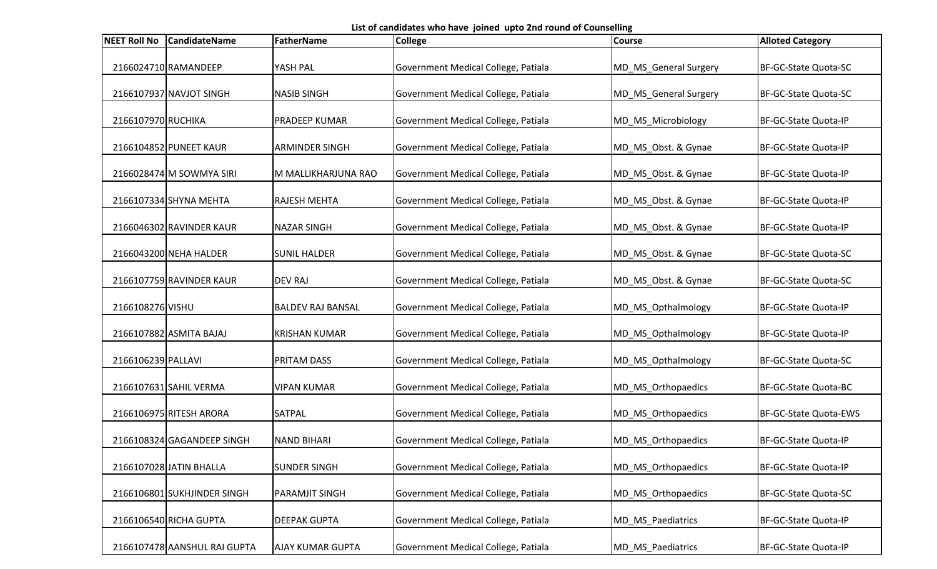List of candidates who have joined upto 2nd round of Counselling

| <b>NEET Roll No</b> | <b>CandidateName</b>         | <b>FatherName</b>        | <b>College</b>                      | <b>Course</b>         | <b>Alloted Category</b> |
|---------------------|------------------------------|--------------------------|-------------------------------------|-----------------------|-------------------------|
|                     | 2166024710 RAMANDEEP         | YASH PAL                 | Government Medical College, Patiala | MD_MS_General Surgery | BF-GC-State Quota-SC    |
|                     | 2166107937 NAVJOT SINGH      | <b>NASIB SINGH</b>       | Government Medical College, Patiala | MD_MS_General Surgery | BF-GC-State Quota-SC    |
| 2166107970 RUCHIKA  |                              | PRADEEP KUMAR            | Government Medical College, Patiala | MD_MS_Microbiology    | BF-GC-State Quota-IP    |
|                     | 2166104852 PUNEET KAUR       | <b>ARMINDER SINGH</b>    | Government Medical College, Patiala | MD_MS_Obst. & Gynae   | BF-GC-State Quota-IP    |
|                     | 2166028474 M SOWMYA SIRI     | M MALLIKHARJUNA RAO      | Government Medical College, Patiala | MD_MS_Obst. & Gynae   | BF-GC-State Quota-IP    |
|                     | 2166107334 SHYNA MEHTA       | <b>RAJESH MEHTA</b>      | Government Medical College, Patiala | MD_MS_Obst. & Gynae   | BF-GC-State Quota-IP    |
|                     | 2166046302 RAVINDER KAUR     | <b>NAZAR SINGH</b>       | Government Medical College, Patiala | MD_MS_Obst. & Gynae   | BF-GC-State Quota-IP    |
|                     | 2166043200 NEHA HALDER       | <b>SUNIL HALDER</b>      | Government Medical College, Patiala | MD MS Obst. & Gynae   | BF-GC-State Quota-SC    |
|                     | 2166107759 RAVINDER KAUR     | <b>DEV RAJ</b>           | Government Medical College, Patiala | MD_MS_Obst. & Gynae   | BF-GC-State Quota-SC    |
| 2166108276 VISHU    |                              | <b>BALDEV RAJ BANSAL</b> | Government Medical College, Patiala | MD_MS_Opthalmology    | BF-GC-State Quota-IP    |
|                     | 2166107882 ASMITA BAJAJ      | <b>KRISHAN KUMAR</b>     | Government Medical College, Patiala | MD_MS_Opthalmology    | BF-GC-State Quota-IP    |
| 2166106239 PALLAVI  |                              | PRITAM DASS              | Government Medical College, Patiala | MD_MS_Opthalmology    | BF-GC-State Quota-SC    |
|                     | 2166107631 SAHIL VERMA       | <b>VIPAN KUMAR</b>       | Government Medical College, Patiala | MD_MS_Orthopaedics    | BF-GC-State Quota-BC    |
|                     | 2166106975 RITESH ARORA      | <b>SATPAL</b>            | Government Medical College, Patiala | MD_MS_Orthopaedics    | BF-GC-State Quota-EWS   |
|                     | 2166108324 GAGANDEEP SINGH   | <b>NAND BIHARI</b>       | Government Medical College, Patiala | MD_MS_Orthopaedics    | BF-GC-State Quota-IP    |
|                     | 2166107028 JATIN BHALLA      | <b>SUNDER SINGH</b>      | Government Medical College, Patiala | MD MS Orthopaedics    | BF-GC-State Quota-IP    |
|                     | 2166106801 SUKHJINDER SINGH  | <b>PARAMJIT SINGH</b>    | Government Medical College, Patiala | MD MS Orthopaedics    | BF-GC-State Quota-SC    |
|                     | 2166106540 RICHA GUPTA       | <b>DEEPAK GUPTA</b>      | Government Medical College, Patiala | MD_MS_Paediatrics     | BF-GC-State Quota-IP    |
|                     | 2166107478 AANSHUL RAI GUPTA | <b>AJAY KUMAR GUPTA</b>  | Government Medical College, Patiala | MD_MS_Paediatrics     | BF-GC-State Quota-IP    |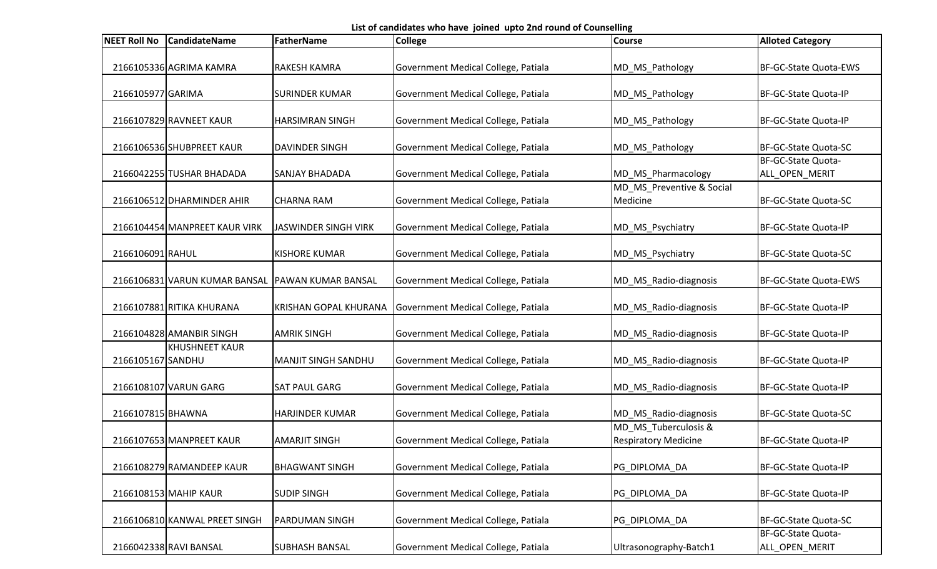List of candidates who have joined upto 2nd round of Counselling

| <b>NEET Roll No</b> | <b>CandidateName</b>          | <b>FatherName</b>            | <b>College</b>                      | <b>Course</b>                                       | <b>Alloted Category</b>              |
|---------------------|-------------------------------|------------------------------|-------------------------------------|-----------------------------------------------------|--------------------------------------|
|                     | 2166105336 AGRIMA KAMRA       | <b>RAKESH KAMRA</b>          | Government Medical College, Patiala | MD_MS_Pathology                                     | <b>BF-GC-State Quota-EWS</b>         |
| 2166105977 GARIMA   |                               | <b>SURINDER KUMAR</b>        | Government Medical College, Patiala | MD_MS_Pathology                                     | BF-GC-State Quota-IP                 |
|                     | 2166107829 RAVNEET KAUR       | <b>HARSIMRAN SINGH</b>       | Government Medical College, Patiala | MD_MS_Pathology                                     | BF-GC-State Quota-IP                 |
|                     | 2166106536 SHUBPREET KAUR     | <b>DAVINDER SINGH</b>        | Government Medical College, Patiala | MD_MS_Pathology                                     | BF-GC-State Quota-SC                 |
|                     | 2166042255 TUSHAR BHADADA     | <b>SANJAY BHADADA</b>        | Government Medical College, Patiala | MD_MS_Pharmacology                                  | BF-GC-State Quota-<br>ALL_OPEN_MERIT |
|                     | 2166106512 DHARMINDER AHIR    | <b>CHARNA RAM</b>            | Government Medical College, Patiala | MD_MS_Preventive & Social<br>Medicine               | BF-GC-State Quota-SC                 |
|                     | 2166104454 MANPREET KAUR VIRK | JASWINDER SINGH VIRK         | Government Medical College, Patiala | MD_MS_Psychiatry                                    | BF-GC-State Quota-IP                 |
| 2166106091 RAHUL    |                               | <b>KISHORE KUMAR</b>         | Government Medical College, Patiala | MD_MS_Psychiatry                                    | BF-GC-State Quota-SC                 |
|                     | 2166106831 VARUN KUMAR BANSAL | <b>PAWAN KUMAR BANSAL</b>    | Government Medical College, Patiala | MD_MS_Radio-diagnosis                               | BF-GC-State Quota-EWS                |
|                     | 2166107881 RITIKA KHURANA     | <b>KRISHAN GOPAL KHURANA</b> | Government Medical College, Patiala | MD_MS_Radio-diagnosis                               | BF-GC-State Quota-IP                 |
|                     | 2166104828 AMANBIR SINGH      | <b>AMRIK SINGH</b>           | Government Medical College, Patiala | MD_MS_Radio-diagnosis                               | BF-GC-State Quota-IP                 |
| 2166105167 SANDHU   | <b>KHUSHNEET KAUR</b>         | <b>MANJIT SINGH SANDHU</b>   | Government Medical College, Patiala | MD_MS_Radio-diagnosis                               | BF-GC-State Quota-IP                 |
|                     | 2166108107 VARUN GARG         | <b>SAT PAUL GARG</b>         | Government Medical College, Patiala | MD_MS_Radio-diagnosis                               | BF-GC-State Quota-IP                 |
| 2166107815 BHAWNA   |                               | <b>HARJINDER KUMAR</b>       | Government Medical College, Patiala | MD_MS_Radio-diagnosis                               | BF-GC-State Quota-SC                 |
|                     | 2166107653 MANPREET KAUR      | <b>AMARJIT SINGH</b>         | Government Medical College, Patiala | MD MS Tuberculosis &<br><b>Respiratory Medicine</b> | BF-GC-State Quota-IP                 |
|                     | 2166108279 RAMANDEEP KAUR     | <b>BHAGWANT SINGH</b>        | Government Medical College, Patiala | PG_DIPLOMA_DA                                       | BF-GC-State Quota-IP                 |
|                     | 2166108153 MAHIP KAUR         | <b>SUDIP SINGH</b>           | Government Medical College, Patiala | PG DIPLOMA DA                                       | BF-GC-State Quota-IP                 |
|                     | 2166106810 KANWAL PREET SINGH | <b>PARDUMAN SINGH</b>        | Government Medical College, Patiala | PG_DIPLOMA_DA                                       | BF-GC-State Quota-SC                 |
|                     | 2166042338 RAVI BANSAL        | <b>SUBHASH BANSAL</b>        | Government Medical College, Patiala | Ultrasonography-Batch1                              | BF-GC-State Quota-<br>ALL_OPEN_MERIT |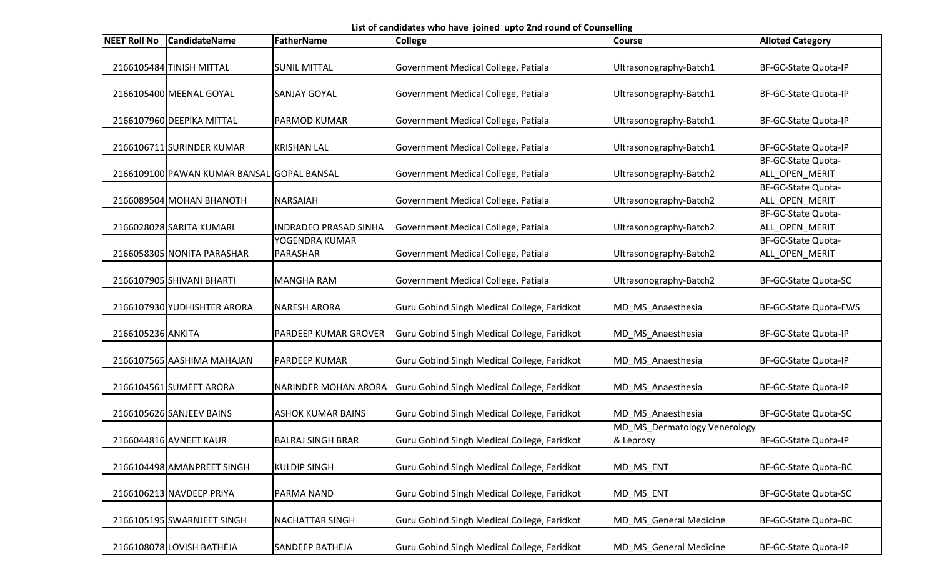List of candidates who have joined upto 2nd round of Counselling

| <b>NEET Roll No</b> | <b>CandidateName</b>                       | FatherName                   | <b>College</b>                              | <b>Course</b>                | <b>Alloted Category</b> |
|---------------------|--------------------------------------------|------------------------------|---------------------------------------------|------------------------------|-------------------------|
|                     |                                            |                              |                                             |                              |                         |
|                     | 2166105484 TINISH MITTAL                   | <b>SUNIL MITTAL</b>          | Government Medical College, Patiala         | Ultrasonography-Batch1       | BF-GC-State Quota-IP    |
|                     |                                            | <b>SANJAY GOYAL</b>          |                                             |                              | BF-GC-State Quota-IP    |
|                     | 2166105400 MEENAL GOYAL                    |                              | Government Medical College, Patiala         | Ultrasonography-Batch1       |                         |
|                     | 2166107960 DEEPIKA MITTAL                  | <b>PARMOD KUMAR</b>          | Government Medical College, Patiala         | Ultrasonography-Batch1       | BF-GC-State Quota-IP    |
|                     |                                            |                              |                                             |                              |                         |
|                     | 2166106711 SURINDER KUMAR                  | <b>KRISHAN LAL</b>           | Government Medical College, Patiala         | Ultrasonography-Batch1       | BF-GC-State Quota-IP    |
|                     |                                            |                              |                                             |                              | BF-GC-State Quota-      |
|                     | 2166109100 PAWAN KUMAR BANSAL GOPAL BANSAL |                              | Government Medical College, Patiala         | Ultrasonography-Batch2       | ALL OPEN MERIT          |
|                     |                                            |                              |                                             |                              | BF-GC-State Quota-      |
|                     | 2166089504 MOHAN BHANOTH                   | <b>NARSAIAH</b>              | Government Medical College, Patiala         | Ultrasonography-Batch2       | ALL OPEN MERIT          |
|                     |                                            |                              |                                             |                              | BF-GC-State Quota-      |
|                     | 2166028028 SARITA KUMARI                   | <b>INDRADEO PRASAD SINHA</b> | Government Medical College, Patiala         | Ultrasonography-Batch2       | ALL_OPEN_MERIT          |
|                     |                                            | YOGENDRA KUMAR               |                                             |                              | BF-GC-State Quota-      |
|                     | 2166058305 NONITA PARASHAR                 | PARASHAR                     | Government Medical College, Patiala         | Ultrasonography-Batch2       | ALL_OPEN_MERIT          |
|                     | 2166107905 SHIVANI BHARTI                  | <b>MANGHA RAM</b>            | Government Medical College, Patiala         | Ultrasonography-Batch2       | BF-GC-State Quota-SC    |
|                     |                                            |                              |                                             |                              |                         |
|                     | 2166107930 YUDHISHTER ARORA                | INARESH ARORA                | Guru Gobind Singh Medical College, Faridkot | MD_MS_Anaesthesia            | BF-GC-State Quota-EWS   |
|                     |                                            |                              |                                             |                              |                         |
| 2166105236 ANKITA   |                                            | PARDEEP KUMAR GROVER         | Guru Gobind Singh Medical College, Faridkot | MD_MS_Anaesthesia            | BF-GC-State Quota-IP    |
|                     |                                            |                              |                                             |                              |                         |
|                     | 2166107565 AASHIMA MAHAJAN                 | <b>PARDEEP KUMAR</b>         | Guru Gobind Singh Medical College, Faridkot | MD_MS_Anaesthesia            | BF-GC-State Quota-IP    |
|                     |                                            |                              |                                             |                              |                         |
|                     | 2166104561 SUMEET ARORA                    | <b>NARINDER MOHAN ARORA</b>  | Guru Gobind Singh Medical College, Faridkot | MD_MS_Anaesthesia            | BF-GC-State Quota-IP    |
|                     |                                            |                              |                                             |                              |                         |
|                     | 2166105626 SANJEEV BAINS                   | <b>ASHOK KUMAR BAINS</b>     | Guru Gobind Singh Medical College, Faridkot | MD_MS_Anaesthesia            | BF-GC-State Quota-SC    |
|                     |                                            |                              |                                             | MD_MS_Dermatology Venerology |                         |
|                     | 2166044816 AVNEET KAUR                     | <b>BALRAJ SINGH BRAR</b>     | Guru Gobind Singh Medical College, Faridkot | & Leprosy                    | BF-GC-State Quota-IP    |
|                     | 2166104498 AMANPREET SINGH                 | <b>KULDIP SINGH</b>          | Guru Gobind Singh Medical College, Faridkot | MD_MS_ENT                    | BF-GC-State Quota-BC    |
|                     |                                            |                              |                                             |                              |                         |
|                     | 2166106213 NAVDEEP PRIYA                   | PARMA NAND                   | Guru Gobind Singh Medical College, Faridkot | MD_MS_ENT                    | BF-GC-State Quota-SC    |
|                     |                                            |                              |                                             |                              |                         |
|                     | 2166105195 SWARNJEET SINGH                 | <b>NACHATTAR SINGH</b>       | Guru Gobind Singh Medical College, Faridkot | MD_MS_General Medicine       | BF-GC-State Quota-BC    |
|                     |                                            |                              |                                             |                              |                         |
|                     | 2166108078 LOVISH BATHEJA                  | <b>SANDEEP BATHEJA</b>       | Guru Gobind Singh Medical College, Faridkot | MD_MS_General Medicine       | BF-GC-State Quota-IP    |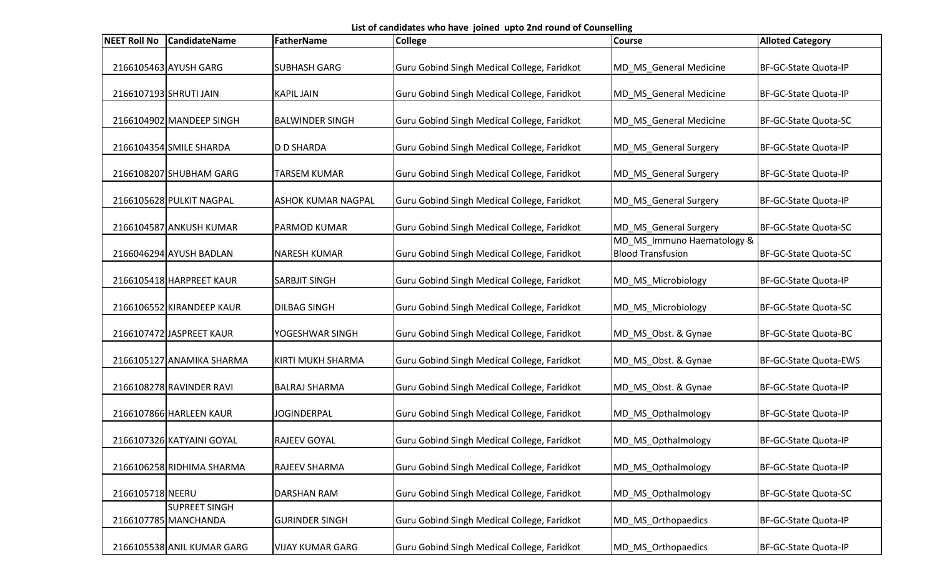List of candidates who have joined upto 2nd round of Counselling

| <b>NEET Roll No</b>    | <b>CandidateName</b>                         | <b>FatherName</b>         | <b>College</b>                              | <b>Course</b>                                          | <b>Alloted Category</b> |
|------------------------|----------------------------------------------|---------------------------|---------------------------------------------|--------------------------------------------------------|-------------------------|
|                        | 2166105463 AYUSH GARG                        | <b>SUBHASH GARG</b>       | Guru Gobind Singh Medical College, Faridkot | MD_MS_General Medicine                                 | BF-GC-State Quota-IP    |
| 2166107193 SHRUTI JAIN |                                              | <b>KAPIL JAIN</b>         | Guru Gobind Singh Medical College, Faridkot | MD_MS_General Medicine                                 | BF-GC-State Quota-IP    |
|                        | 2166104902 MANDEEP SINGH                     | <b>BALWINDER SINGH</b>    | Guru Gobind Singh Medical College, Faridkot | MD_MS_General Medicine                                 | BF-GC-State Quota-SC    |
|                        | 2166104354 SMILE SHARDA                      | <b>D D SHARDA</b>         | Guru Gobind Singh Medical College, Faridkot | MD_MS_General Surgery                                  | BF-GC-State Quota-IP    |
|                        | 2166108207 SHUBHAM GARG                      | <b>TARSEM KUMAR</b>       | Guru Gobind Singh Medical College, Faridkot | MD_MS_General Surgery                                  | BF-GC-State Quota-IP    |
|                        | 2166105628 PULKIT NAGPAL                     | <b>ASHOK KUMAR NAGPAL</b> | Guru Gobind Singh Medical College, Faridkot | MD_MS_General Surgery                                  | BF-GC-State Quota-IP    |
|                        | 2166104587 ANKUSH KUMAR                      | PARMOD KUMAR              | Guru Gobind Singh Medical College, Faridkot | MD_MS_General Surgery                                  | BF-GC-State Quota-SC    |
|                        | 2166046294 AYUSH BADLAN                      | <b>NARESH KUMAR</b>       | Guru Gobind Singh Medical College, Faridkot | MD_MS_Immuno Haematology &<br><b>Blood Transfusion</b> | BF-GC-State Quota-SC    |
|                        | 2166105418 HARPREET KAUR                     | SARBJIT SINGH             | Guru Gobind Singh Medical College, Faridkot | MD_MS_Microbiology                                     | BF-GC-State Quota-IP    |
|                        | 2166106552 KIRANDEEP KAUR                    | <b>DILBAG SINGH</b>       | Guru Gobind Singh Medical College, Faridkot | MD_MS_Microbiology                                     | BF-GC-State Quota-SC    |
|                        | 2166107472 JASPREET KAUR                     | YOGESHWAR SINGH           | Guru Gobind Singh Medical College, Faridkot | MD_MS_Obst. & Gynae                                    | BF-GC-State Quota-BC    |
|                        | 2166105127 ANAMIKA SHARMA                    | KIRTI MUKH SHARMA         | Guru Gobind Singh Medical College, Faridkot | MD_MS_Obst. & Gynae                                    | BF-GC-State Quota-EWS   |
|                        | 2166108278 RAVINDER RAVI                     | <b>BALRAJ SHARMA</b>      | Guru Gobind Singh Medical College, Faridkot | MD_MS_Obst. & Gynae                                    | BF-GC-State Quota-IP    |
|                        | 2166107866 HARLEEN KAUR                      | <b>JOGINDERPAL</b>        | Guru Gobind Singh Medical College, Faridkot | MD_MS_Opthalmology                                     | BF-GC-State Quota-IP    |
|                        | 2166107326 KATYAINI GOYAL                    | <b>RAJEEV GOYAL</b>       | Guru Gobind Singh Medical College, Faridkot | MD_MS_Opthalmology                                     | BF-GC-State Quota-IP    |
|                        | 2166106258 RIDHIMA SHARMA                    | RAJEEV SHARMA             | Guru Gobind Singh Medical College, Faridkot | MD MS Opthalmology                                     | BF-GC-State Quota-IP    |
| 2166105718 NEERU       |                                              | DARSHAN RAM               | Guru Gobind Singh Medical College, Faridkot | MD_MS_Opthalmology                                     | BF-GC-State Quota-SC    |
|                        | <b>SUPREET SINGH</b><br>2166107785 MANCHANDA | <b>GURINDER SINGH</b>     | Guru Gobind Singh Medical College, Faridkot | MD_MS_Orthopaedics                                     | BF-GC-State Quota-IP    |
|                        | 2166105538 ANIL KUMAR GARG                   | <b>VIJAY KUMAR GARG</b>   | Guru Gobind Singh Medical College, Faridkot | MD_MS_Orthopaedics                                     | BF-GC-State Quota-IP    |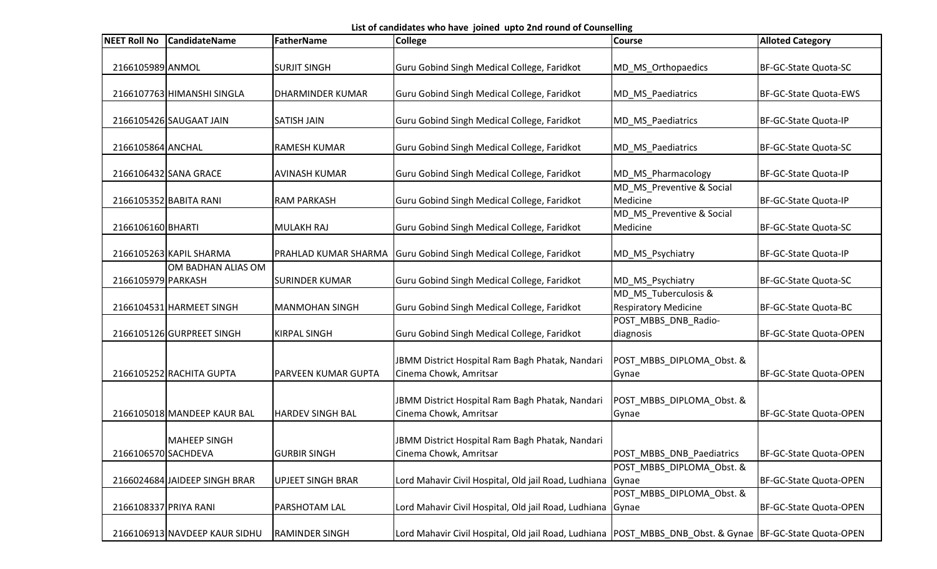List of candidates who have joined upto 2nd round of Counselling

| <b>NEET Roll No</b>   | <b>CandidateName</b>          | FatherName                  | College                                                                                                     | <b>Course</b>                                       | <b>Alloted Category</b>       |
|-----------------------|-------------------------------|-----------------------------|-------------------------------------------------------------------------------------------------------------|-----------------------------------------------------|-------------------------------|
|                       |                               |                             |                                                                                                             |                                                     |                               |
| 2166105989 ANMOL      |                               | <b>SURJIT SINGH</b>         | Guru Gobind Singh Medical College, Faridkot                                                                 | MD_MS_Orthopaedics                                  | BF-GC-State Quota-SC          |
|                       | 2166107763 HIMANSHI SINGLA    | <b>DHARMINDER KUMAR</b>     | Guru Gobind Singh Medical College, Faridkot                                                                 | MD_MS_Paediatrics                                   | BF-GC-State Quota-EWS         |
|                       | 2166105426 SAUGAAT JAIN       | <b>SATISH JAIN</b>          | Guru Gobind Singh Medical College, Faridkot                                                                 | MD_MS_Paediatrics                                   | BF-GC-State Quota-IP          |
| 2166105864 ANCHAL     |                               | <b>RAMESH KUMAR</b>         | Guru Gobind Singh Medical College, Faridkot                                                                 | MD_MS_Paediatrics                                   | BF-GC-State Quota-SC          |
|                       | 2166106432 SANA GRACE         | <b>AVINASH KUMAR</b>        | Guru Gobind Singh Medical College, Faridkot                                                                 | MD_MS_Pharmacology                                  | BF-GC-State Quota-IP          |
|                       | 2166105352 BABITA RANI        | <b>RAM PARKASH</b>          | Guru Gobind Singh Medical College, Faridkot                                                                 | MD_MS_Preventive & Social<br>Medicine               | BF-GC-State Quota-IP          |
| 2166106160 BHARTI     |                               | MULAKH RAJ                  | Guru Gobind Singh Medical College, Faridkot                                                                 | MD_MS_Preventive & Social<br>Medicine               | BF-GC-State Quota-SC          |
|                       | 2166105263 KAPIL SHARMA       | <b>PRAHLAD KUMAR SHARMA</b> | Guru Gobind Singh Medical College, Faridkot                                                                 | MD_MS_Psychiatry                                    | BF-GC-State Quota-IP          |
| 2166105979 PARKASH    | OM BADHAN ALIAS OM            | <b>SURINDER KUMAR</b>       | Guru Gobind Singh Medical College, Faridkot                                                                 | MD_MS_Psychiatry                                    | BF-GC-State Quota-SC          |
|                       | 2166104531 HARMEET SINGH      | MANMOHAN SINGH              | Guru Gobind Singh Medical College, Faridkot                                                                 | MD_MS_Tuberculosis &<br><b>Respiratory Medicine</b> | BF-GC-State Quota-BC          |
|                       | 2166105126 GURPREET SINGH     | <b>KIRPAL SINGH</b>         | Guru Gobind Singh Medical College, Faridkot                                                                 | POST_MBBS_DNB_Radio-<br>diagnosis                   | BF-GC-State Quota-OPEN        |
|                       |                               |                             |                                                                                                             |                                                     |                               |
|                       | 2166105252 RACHITA GUPTA      | <b>PARVEEN KUMAR GUPTA</b>  | JBMM District Hospital Ram Bagh Phatak, Nandari<br>Cinema Chowk, Amritsar                                   | POST_MBBS_DIPLOMA_Obst. &<br>Gynae                  | BF-GC-State Quota-OPEN        |
|                       | 2166105018 MANDEEP KAUR BAL   | <b>HARDEV SINGH BAL</b>     | JBMM District Hospital Ram Bagh Phatak, Nandari<br>Cinema Chowk, Amritsar                                   | POST_MBBS_DIPLOMA_Obst. &<br>Gynae                  | BF-GC-State Quota-OPEN        |
|                       | <b>MAHEEP SINGH</b>           |                             | JBMM District Hospital Ram Bagh Phatak, Nandari                                                             |                                                     |                               |
| 2166106570 SACHDEVA   |                               | <b>GURBIR SINGH</b>         | Cinema Chowk, Amritsar                                                                                      | POST MBBS DNB Paediatrics                           | <b>BF-GC-State Quota-OPEN</b> |
|                       | 2166024684 JAIDEEP SINGH BRAR | <b>UPJEET SINGH BRAR</b>    | Lord Mahavir Civil Hospital, Old jail Road, Ludhiana                                                        | POST_MBBS_DIPLOMA_Obst. &<br>Gynae                  | BF-GC-State Quota-OPEN        |
| 2166108337 PRIYA RANI |                               | <b>PARSHOTAM LAL</b>        | Lord Mahavir Civil Hospital, Old jail Road, Ludhiana                                                        | POST_MBBS_DIPLOMA_Obst. &<br>Gynae                  | BF-GC-State Quota-OPEN        |
|                       | 2166106913 NAVDEEP KAUR SIDHU | <b>RAMINDER SINGH</b>       | Lord Mahavir Civil Hospital, Old jail Road, Ludhiana   POST_MBBS_DNB_Obst. & Gynae   BF-GC-State Quota-OPEN |                                                     |                               |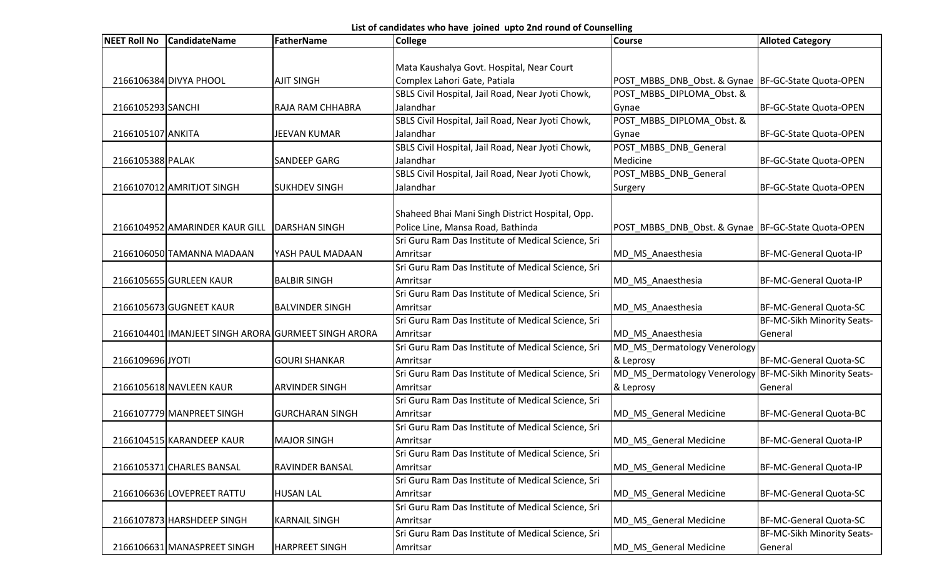List of candidates who have joined upto 2nd round of Counselling

| <b>NEET Roll No</b> | <b>CandidateName</b>           | <b>FatherName</b>                                   | <b>College</b>                                     | <b>Course</b>                                           | <b>Alloted Category</b>       |
|---------------------|--------------------------------|-----------------------------------------------------|----------------------------------------------------|---------------------------------------------------------|-------------------------------|
|                     |                                |                                                     |                                                    |                                                         |                               |
|                     |                                |                                                     | Mata Kaushalya Govt. Hospital, Near Court          |                                                         |                               |
|                     | 2166106384 DIVYA PHOOL         | <b>AJIT SINGH</b>                                   | Complex Lahori Gate, Patiala                       | POST MBBS DNB Obst. & Gynae BF-GC-State Quota-OPEN      |                               |
|                     |                                |                                                     | SBLS Civil Hospital, Jail Road, Near Jyoti Chowk,  | POST_MBBS_DIPLOMA_Obst. &                               |                               |
| 2166105293 SANCHI   |                                | <b>RAJA RAM CHHABRA</b>                             | Jalandhar                                          | Gynae                                                   | BF-GC-State Quota-OPEN        |
|                     |                                |                                                     | SBLS Civil Hospital, Jail Road, Near Jyoti Chowk,  | POST_MBBS_DIPLOMA_Obst. &                               |                               |
| 2166105107 ANKITA   |                                | <b>JEEVAN KUMAR</b>                                 | Jalandhar                                          | Gynae                                                   | <b>BF-GC-State Quota-OPEN</b> |
|                     |                                |                                                     | SBLS Civil Hospital, Jail Road, Near Jyoti Chowk,  | POST_MBBS_DNB_General                                   |                               |
| 2166105388 PALAK    |                                | <b>SANDEEP GARG</b>                                 | Jalandhar                                          | Medicine                                                | BF-GC-State Quota-OPEN        |
|                     |                                |                                                     | SBLS Civil Hospital, Jail Road, Near Jyoti Chowk,  | POST_MBBS_DNB_General                                   |                               |
|                     | 2166107012 AMRITJOT SINGH      | <b>SUKHDEV SINGH</b>                                | Jalandhar                                          | Surgery                                                 | BF-GC-State Quota-OPEN        |
|                     |                                |                                                     |                                                    |                                                         |                               |
|                     |                                |                                                     | Shaheed Bhai Mani Singh District Hospital, Opp.    |                                                         |                               |
|                     | 2166104952 AMARINDER KAUR GILL | DARSHAN SINGH                                       | Police Line, Mansa Road, Bathinda                  | POST_MBBS_DNB_Obst. & Gynae  BF-GC-State Quota-OPEN     |                               |
|                     |                                |                                                     | Sri Guru Ram Das Institute of Medical Science, Sri |                                                         |                               |
|                     | 2166106050 TAMANNA MADAAN      | YASH PAUL MADAAN                                    | Amritsar                                           | MD MS Anaesthesia                                       | BF-MC-General Quota-IP        |
|                     |                                |                                                     | Sri Guru Ram Das Institute of Medical Science, Sri |                                                         |                               |
|                     | 2166105655 GURLEEN KAUR        | <b>BALBIR SINGH</b>                                 | Amritsar                                           | MD_MS_Anaesthesia                                       | BF-MC-General Quota-IP        |
|                     |                                |                                                     | Sri Guru Ram Das Institute of Medical Science, Sri |                                                         |                               |
|                     | 2166105673 GUGNEET KAUR        | <b>BALVINDER SINGH</b>                              | Amritsar                                           | MD MS Anaesthesia                                       | <b>BF-MC-General Quota-SC</b> |
|                     |                                |                                                     | Sri Guru Ram Das Institute of Medical Science, Sri |                                                         | BF-MC-Sikh Minority Seats-    |
|                     |                                | 2166104401 IMANJEET SINGH ARORA GURMEET SINGH ARORA | Amritsar                                           | MD MS Anaesthesia                                       | General                       |
|                     |                                |                                                     | Sri Guru Ram Das Institute of Medical Science, Sri | MD_MS_Dermatology Venerology                            |                               |
| 2166109696 JYOTI    |                                | <b>GOURI SHANKAR</b>                                | Amritsar                                           | & Leprosy                                               | BF-MC-General Quota-SC        |
|                     |                                |                                                     | Sri Guru Ram Das Institute of Medical Science, Sri | MD_MS_Dermatology Venerology BF-MC-Sikh Minority Seats- |                               |
|                     | 2166105618 NAVLEEN KAUR        | <b>ARVINDER SINGH</b>                               | Amritsar                                           | & Leprosy                                               | General                       |
|                     |                                |                                                     | Sri Guru Ram Das Institute of Medical Science, Sri |                                                         |                               |
|                     | 2166107779 MANPREET SINGH      | <b>GURCHARAN SINGH</b>                              | Amritsar                                           | MD MS General Medicine                                  | BF-MC-General Quota-BC        |
|                     |                                |                                                     | Sri Guru Ram Das Institute of Medical Science, Sri |                                                         |                               |
|                     | 2166104515 KARANDEEP KAUR      | <b>MAJOR SINGH</b>                                  | Amritsar                                           | <b>MD MS General Medicine</b>                           | <b>BF-MC-General Quota-IP</b> |
|                     |                                |                                                     | Sri Guru Ram Das Institute of Medical Science, Sri |                                                         |                               |
|                     | 2166105371 CHARLES BANSAL      | <b>RAVINDER BANSAL</b>                              | Amritsar                                           | MD_MS_General Medicine                                  | BF-MC-General Quota-IP        |
|                     |                                |                                                     | Sri Guru Ram Das Institute of Medical Science, Sri |                                                         |                               |
|                     | 2166106636 LOVEPREET RATTU     | <b>HUSAN LAL</b>                                    | Amritsar                                           | MD MS General Medicine                                  | BF-MC-General Quota-SC        |
|                     |                                |                                                     | Sri Guru Ram Das Institute of Medical Science, Sri |                                                         |                               |
|                     | 2166107873 HARSHDEEP SINGH     | <b>KARNAIL SINGH</b>                                | Amritsar                                           | MD_MS_General Medicine                                  | BF-MC-General Quota-SC        |
|                     |                                |                                                     | Sri Guru Ram Das Institute of Medical Science, Sri |                                                         | BF-MC-Sikh Minority Seats-    |
|                     | 2166106631 MANASPREET SINGH    | <b>HARPREET SINGH</b>                               | Amritsar                                           | MD MS General Medicine                                  | General                       |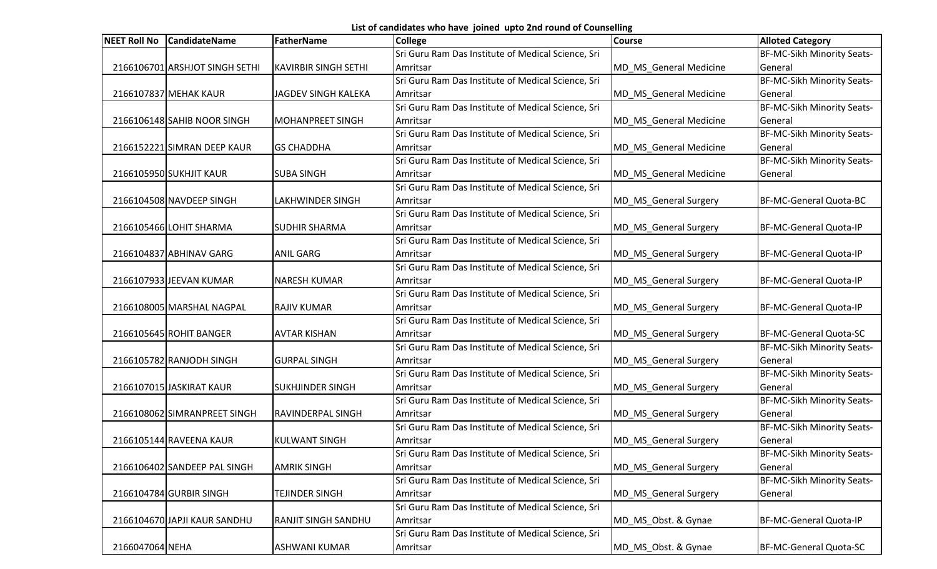List of candidates who have joined upto 2nd round of Counselling

| NEET Roll No    | <b>CandidateName</b>           | FatherName                  | <b>College</b>                                     | <b>Course</b>          | <b>Alloted Category</b>       |
|-----------------|--------------------------------|-----------------------------|----------------------------------------------------|------------------------|-------------------------------|
|                 |                                |                             | Sri Guru Ram Das Institute of Medical Science, Sri |                        | BF-MC-Sikh Minority Seats-    |
|                 | 2166106701 ARSHJOT SINGH SETHI | <b>KAVIRBIR SINGH SETHI</b> | Amritsar                                           | MD MS General Medicine | General                       |
|                 |                                |                             | Sri Guru Ram Das Institute of Medical Science, Sri |                        | BF-MC-Sikh Minority Seats-    |
|                 | 2166107837 MEHAK KAUR          | JAGDEV SINGH KALEKA         | Amritsar                                           | MD MS General Medicine | General                       |
|                 |                                |                             | Sri Guru Ram Das Institute of Medical Science, Sri |                        | BF-MC-Sikh Minority Seats-    |
|                 | 2166106148 SAHIB NOOR SINGH    | MOHANPREET SINGH            | Amritsar                                           | MD_MS_General Medicine | General                       |
|                 |                                |                             | Sri Guru Ram Das Institute of Medical Science, Sri |                        | BF-MC-Sikh Minority Seats-    |
|                 | 2166152221 SIMRAN DEEP KAUR    | <b>GS CHADDHA</b>           | Amritsar                                           | MD_MS_General Medicine | General                       |
|                 |                                |                             | Sri Guru Ram Das Institute of Medical Science, Sri |                        | BF-MC-Sikh Minority Seats-    |
|                 | 2166105950 SUKHJIT KAUR        | <b>SUBA SINGH</b>           | Amritsar                                           | MD_MS_General Medicine | General                       |
|                 |                                |                             | Sri Guru Ram Das Institute of Medical Science, Sri |                        |                               |
|                 | 2166104508 NAVDEEP SINGH       | <b>LAKHWINDER SINGH</b>     | Amritsar                                           | MD_MS_General Surgery  | BF-MC-General Quota-BC        |
|                 |                                |                             | Sri Guru Ram Das Institute of Medical Science, Sri |                        |                               |
|                 | 2166105466 LOHIT SHARMA        | <b>SUDHIR SHARMA</b>        | Amritsar                                           | MD_MS_General Surgery  | <b>BF-MC-General Quota-IP</b> |
|                 |                                |                             | Sri Guru Ram Das Institute of Medical Science, Sri |                        |                               |
|                 | 2166104837 ABHINAV GARG        | <b>ANIL GARG</b>            | Amritsar                                           | MD MS General Surgery  | <b>BF-MC-General Quota-IP</b> |
|                 |                                |                             | Sri Guru Ram Das Institute of Medical Science, Sri |                        |                               |
|                 | 2166107933 JEEVAN KUMAR        | <b>NARESH KUMAR</b>         | Amritsar                                           | MD_MS_General Surgery  | BF-MC-General Quota-IP        |
|                 |                                |                             | Sri Guru Ram Das Institute of Medical Science, Sri |                        |                               |
|                 | 2166108005 MARSHAL NAGPAL      | <b>RAJIV KUMAR</b>          | Amritsar                                           | MD MS General Surgery  | <b>BF-MC-General Quota-IP</b> |
|                 |                                |                             | Sri Guru Ram Das Institute of Medical Science, Sri |                        |                               |
|                 | 2166105645 ROHIT BANGER        | <b>AVTAR KISHAN</b>         | Amritsar                                           | MD_MS_General Surgery  | <b>BF-MC-General Quota-SC</b> |
|                 |                                |                             | Sri Guru Ram Das Institute of Medical Science, Sri |                        | BF-MC-Sikh Minority Seats-    |
|                 | 2166105782 RANJODH SINGH       | <b>GURPAL SINGH</b>         | Amritsar                                           | MD_MS_General Surgery  | General                       |
|                 |                                |                             | Sri Guru Ram Das Institute of Medical Science, Sri |                        | BF-MC-Sikh Minority Seats-    |
|                 | 2166107015 JASKIRAT KAUR       | <b>SUKHJINDER SINGH</b>     | Amritsar                                           | MD_MS_General Surgery  | General                       |
|                 |                                |                             | Sri Guru Ram Das Institute of Medical Science, Sri |                        | BF-MC-Sikh Minority Seats-    |
|                 | 2166108062 SIMRANPREET SINGH   | <b>RAVINDERPAL SINGH</b>    | Amritsar                                           | MD_MS_General Surgery  | General                       |
|                 |                                |                             | Sri Guru Ram Das Institute of Medical Science, Sri |                        | BF-MC-Sikh Minority Seats-    |
|                 | 2166105144 RAVEENA KAUR        | <b>KULWANT SINGH</b>        | Amritsar                                           | MD_MS_General Surgery  | General                       |
|                 |                                |                             | Sri Guru Ram Das Institute of Medical Science, Sri |                        | BF-MC-Sikh Minority Seats-    |
|                 | 2166106402 SANDEEP PAL SINGH   | <b>AMRIK SINGH</b>          | Amritsar                                           | MD_MS_General Surgery  | General                       |
|                 |                                |                             | Sri Guru Ram Das Institute of Medical Science, Sri |                        | BF-MC-Sikh Minority Seats-    |
|                 | 2166104784 GURBIR SINGH        | <b>TEJINDER SINGH</b>       | Amritsar                                           | MD_MS_General Surgery  | General                       |
|                 |                                |                             | Sri Guru Ram Das Institute of Medical Science, Sri |                        |                               |
|                 | 2166104670 JAPJI KAUR SANDHU   | <b>RANJIT SINGH SANDHU</b>  | Amritsar                                           | MD_MS_Obst. & Gynae    | BF-MC-General Quota-IP        |
|                 |                                |                             | Sri Guru Ram Das Institute of Medical Science, Sri |                        |                               |
| 2166047064 NEHA |                                | <b>ASHWANI KUMAR</b>        | Amritsar                                           | MD_MS_Obst. & Gynae    | BF-MC-General Quota-SC        |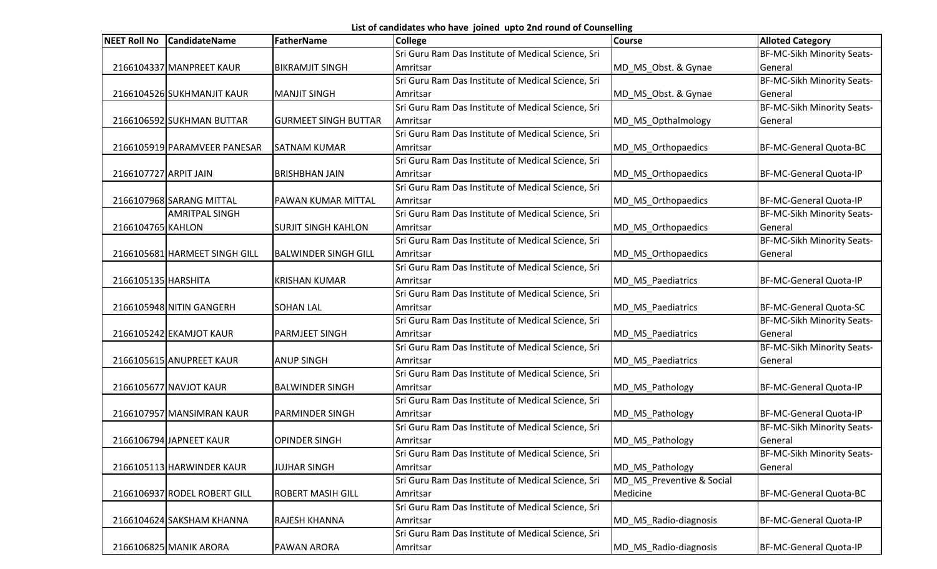List of candidates who have joined upto 2nd round of Counselling

|                       | NEET Roll No CandidateName    | FatherName                  | <b>College</b>                                     | <b>Course</b>             | <b>Alloted Category</b>    |
|-----------------------|-------------------------------|-----------------------------|----------------------------------------------------|---------------------------|----------------------------|
|                       |                               |                             | Sri Guru Ram Das Institute of Medical Science, Sri |                           | BF-MC-Sikh Minority Seats- |
|                       | 2166104337 MANPREET KAUR      | <b>BIKRAMJIT SINGH</b>      | Amritsar                                           | MD_MS_Obst. & Gynae       | General                    |
|                       |                               |                             | Sri Guru Ram Das Institute of Medical Science, Sri |                           | BF-MC-Sikh Minority Seats- |
|                       | 2166104526 SUKHMANJIT KAUR    | <b>MANJIT SINGH</b>         | Amritsar                                           | MD MS Obst. & Gynae       | General                    |
|                       |                               |                             | Sri Guru Ram Das Institute of Medical Science, Sri |                           | BF-MC-Sikh Minority Seats- |
|                       | 2166106592 SUKHMAN BUTTAR     | <b>GURMEET SINGH BUTTAR</b> | Amritsar                                           | MD_MS_Opthalmology        | General                    |
|                       |                               |                             | Sri Guru Ram Das Institute of Medical Science, Sri |                           |                            |
|                       | 2166105919 PARAMVEER PANESAR  | <b>SATNAM KUMAR</b>         | Amritsar                                           | MD_MS_Orthopaedics        | BF-MC-General Quota-BC     |
|                       |                               |                             | Sri Guru Ram Das Institute of Medical Science, Sri |                           |                            |
| 2166107727 ARPIT JAIN |                               | <b>BRISHBHAN JAIN</b>       | Amritsar                                           | MD_MS_Orthopaedics        | BF-MC-General Quota-IP     |
|                       |                               |                             | Sri Guru Ram Das Institute of Medical Science, Sri |                           |                            |
|                       | 2166107968 SARANG MITTAL      | <b>PAWAN KUMAR MITTAL</b>   | Amritsar                                           | MD_MS_Orthopaedics        | BF-MC-General Quota-IP     |
|                       | <b>AMRITPAL SINGH</b>         |                             | Sri Guru Ram Das Institute of Medical Science, Sri |                           | BF-MC-Sikh Minority Seats- |
| 2166104765 KAHLON     |                               | <b>SURJIT SINGH KAHLON</b>  | Amritsar                                           | MD_MS_Orthopaedics        | General                    |
|                       |                               |                             | Sri Guru Ram Das Institute of Medical Science, Sri |                           | BF-MC-Sikh Minority Seats- |
|                       | 2166105681 HARMEET SINGH GILL | <b>BALWINDER SINGH GILL</b> | Amritsar                                           | MD_MS_Orthopaedics        | General                    |
|                       |                               |                             | Sri Guru Ram Das Institute of Medical Science, Sri |                           |                            |
| 2166105135 HARSHITA   |                               | <b>KRISHAN KUMAR</b>        | Amritsar                                           | MD_MS_Paediatrics         | BF-MC-General Quota-IP     |
|                       |                               |                             | Sri Guru Ram Das Institute of Medical Science, Sri |                           |                            |
|                       | 2166105948 NITIN GANGERH      | <b>SOHAN LAL</b>            | Amritsar                                           | MD_MS_Paediatrics         | BF-MC-General Quota-SC     |
|                       |                               |                             | Sri Guru Ram Das Institute of Medical Science, Sri |                           | BF-MC-Sikh Minority Seats- |
|                       | 2166105242 EKAMJOT KAUR       | <b>PARMJEET SINGH</b>       | Amritsar                                           | MD_MS_Paediatrics         | General                    |
|                       |                               |                             | Sri Guru Ram Das Institute of Medical Science, Sri |                           | BF-MC-Sikh Minority Seats- |
|                       | 2166105615 ANUPREET KAUR      | <b>ANUP SINGH</b>           | Amritsar                                           | MD_MS_Paediatrics         | General                    |
|                       |                               |                             | Sri Guru Ram Das Institute of Medical Science, Sri |                           |                            |
|                       | 2166105677 NAVJOT KAUR        | <b>BALWINDER SINGH</b>      | Amritsar                                           | MD_MS_Pathology           | BF-MC-General Quota-IP     |
|                       |                               |                             | Sri Guru Ram Das Institute of Medical Science, Sri |                           |                            |
|                       | 2166107957 MANSIMRAN KAUR     | <b>PARMINDER SINGH</b>      | Amritsar                                           | MD_MS_Pathology           | BF-MC-General Quota-IP     |
|                       |                               |                             | Sri Guru Ram Das Institute of Medical Science, Sri |                           | BF-MC-Sikh Minority Seats- |
|                       | 2166106794 JAPNEET KAUR       | <b>OPINDER SINGH</b>        | Amritsar                                           | MD_MS_Pathology           | General                    |
|                       |                               |                             | Sri Guru Ram Das Institute of Medical Science, Sri |                           | BF-MC-Sikh Minority Seats- |
|                       | 2166105113 HARWINDER KAUR     | <b>JUJHAR SINGH</b>         | Amritsar                                           | MD_MS_Pathology           | General                    |
|                       |                               |                             | Sri Guru Ram Das Institute of Medical Science, Sri | MD_MS_Preventive & Social |                            |
|                       | 2166106937 RODEL ROBERT GILL  | <b>ROBERT MASIH GILL</b>    | Amritsar                                           | Medicine                  | BF-MC-General Quota-BC     |
|                       |                               |                             | Sri Guru Ram Das Institute of Medical Science, Sri |                           |                            |
|                       | 2166104624 SAKSHAM KHANNA     | <b>RAJESH KHANNA</b>        | Amritsar                                           | MD_MS_Radio-diagnosis     | BF-MC-General Quota-IP     |
|                       |                               |                             | Sri Guru Ram Das Institute of Medical Science, Sri |                           |                            |
|                       | 2166106825 MANIK ARORA        | <b>PAWAN ARORA</b>          | Amritsar                                           | MD_MS_Radio-diagnosis     | BF-MC-General Quota-IP     |